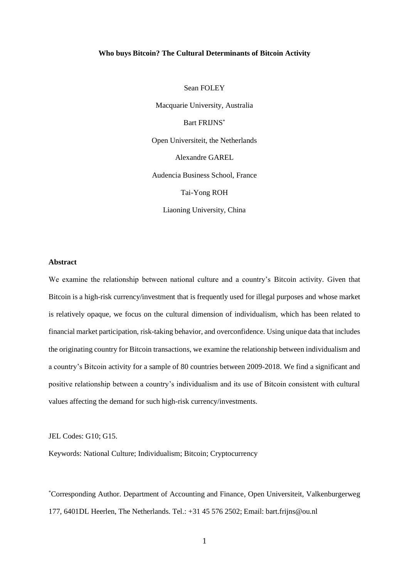## **Who buys Bitcoin? The Cultural Determinants of Bitcoin Activity**

Sean FOLEY Macquarie University, Australia Bart FRIJNS\* Open Universiteit, the Netherlands Alexandre GAREL Audencia Business School, France Tai-Yong ROH Liaoning University, China

#### **Abstract**

We examine the relationship between national culture and a country's Bitcoin activity. Given that Bitcoin is a high-risk currency/investment that is frequently used for illegal purposes and whose market is relatively opaque, we focus on the cultural dimension of individualism, which has been related to financial market participation, risk-taking behavior, and overconfidence. Using unique data that includes the originating country for Bitcoin transactions, we examine the relationship between individualism and a country's Bitcoin activity for a sample of 80 countries between 2009-2018. We find a significant and positive relationship between a country's individualism and its use of Bitcoin consistent with cultural values affecting the demand for such high-risk currency/investments.

#### JEL Codes: G10; G15.

Keywords: National Culture; Individualism; Bitcoin; Cryptocurrency

\*Corresponding Author. Department of Accounting and Finance, Open Universiteit, Valkenburgerweg 177, 6401DL Heerlen, The Netherlands. Tel.: +31 45 576 2502; Email: bart.frijns@ou.nl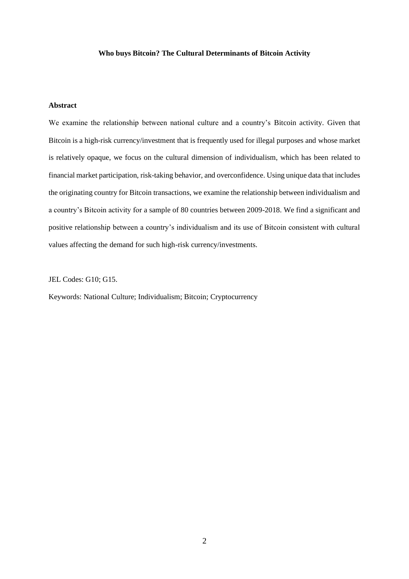# **Who buys Bitcoin? The Cultural Determinants of Bitcoin Activity**

# **Abstract**

We examine the relationship between national culture and a country's Bitcoin activity. Given that Bitcoin is a high-risk currency/investment that is frequently used for illegal purposes and whose market is relatively opaque, we focus on the cultural dimension of individualism, which has been related to financial market participation, risk-taking behavior, and overconfidence. Using unique data that includes the originating country for Bitcoin transactions, we examine the relationship between individualism and a country's Bitcoin activity for a sample of 80 countries between 2009-2018. We find a significant and positive relationship between a country's individualism and its use of Bitcoin consistent with cultural values affecting the demand for such high-risk currency/investments.

JEL Codes: G10; G15.

Keywords: National Culture; Individualism; Bitcoin; Cryptocurrency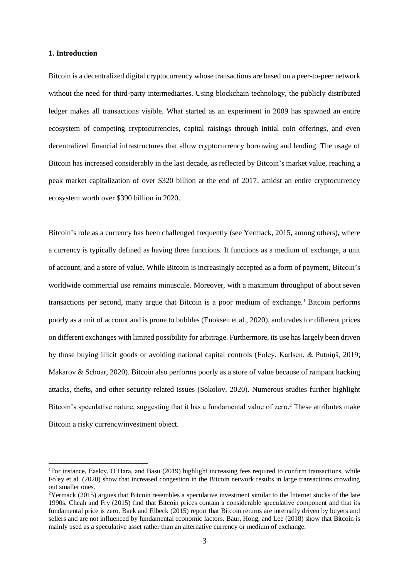#### **1. Introduction**

1

Bitcoin is a decentralized digital cryptocurrency whose transactions are based on a peer-to-peer network without the need for third-party intermediaries. Using blockchain technology, the publicly distributed ledger makes all transactions visible. What started as an experiment in 2009 has spawned an entire ecosystem of competing cryptocurrencies, capital raisings through initial coin offerings, and even decentralized financial infrastructures that allow cryptocurrency borrowing and lending. The usage of Bitcoin has increased considerably in the last decade, as reflected by Bitcoin's market value, reaching a peak market capitalization of over \$320 billion at the end of 2017, amidst an entire cryptocurrency ecosystem worth over \$390 billion in 2020.

Bitcoin's role as a currency has been challenged frequently (see Yermack, 2015, among others), where a currency is typically defined as having three functions. It functions as a medium of exchange, a unit of account, and a store of value. While Bitcoin is increasingly accepted as a form of payment, Bitcoin's worldwide commercial use remains minuscule. Moreover, with a maximum throughput of about seven transactions per second, many argue that Bitcoin is a poor medium of exchange. <sup>1</sup> Bitcoin performs poorly as a unit of account and is prone to bubbles (Enoksen et al., 2020), and trades for different prices on different exchanges with limited possibility for arbitrage. Furthermore, its use has largely been driven by those buying illicit goods or avoiding national capital controls (Foley, Karlsen, & Putniņš, 2019; Makarov & Schoar, 2020). Bitcoin also performs poorly as a store of value because of rampant hacking attacks, thefts, and other security-related issues (Sokolov, 2020). Numerous studies further highlight Bitcoin's speculative nature, suggesting that it has a fundamental value of zero.<sup>2</sup> These attributes make Bitcoin a risky currency/investment object.

<sup>1</sup>For instance, Easley, O'Hara, and Basu (2019) highlight increasing fees required to confirm transactions, while Foley et al. (2020) show that increased congestion in the Bitcoin network results in large transactions crowding out smaller ones.

<sup>&</sup>lt;sup>2</sup>Yermack (2015) argues that Bitcoin resembles a speculative investment similar to the Internet stocks of the late 1990s. Cheah and Fry (2015) find that Bitcoin prices contain a considerable speculative component and that its fundamental price is zero. Baek and Elbeck (2015) report that Bitcoin returns are internally driven by buyers and sellers and are not influenced by fundamental economic factors. Baur, Hong, and Lee (2018) show that Bitcoin is mainly used as a speculative asset rather than an alternative currency or medium of exchange.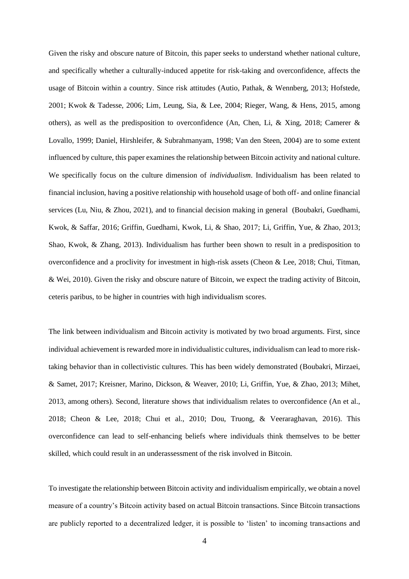Given the risky and obscure nature of Bitcoin, this paper seeks to understand whether national culture, and specifically whether a culturally-induced appetite for risk-taking and overconfidence, affects the usage of Bitcoin within a country. Since risk attitudes (Autio, Pathak, & Wennberg, 2013; Hofstede, 2001; Kwok & Tadesse, 2006; Lim, Leung, Sia, & Lee, 2004; Rieger, Wang, & Hens, 2015, among others), as well as the predisposition to overconfidence (An, Chen, Li, & Xing, 2018; Camerer & Lovallo, 1999; Daniel, Hirshleifer, & Subrahmanyam, 1998; Van den Steen, 2004) are to some extent influenced by culture, this paper examines the relationship between Bitcoin activity and national culture. We specifically focus on the culture dimension of *individualism*. Individualism has been related to financial inclusion, having a positive relationship with household usage of both off- and online financial services (Lu, Niu, & Zhou, 2021), and to financial decision making in general (Boubakri, Guedhami, Kwok, & Saffar, 2016; Griffin, Guedhami, Kwok, Li, & Shao, 2017; Li, Griffin, Yue, & Zhao, 2013; Shao, Kwok, & Zhang, 2013). Individualism has further been shown to result in a predisposition to overconfidence and a proclivity for investment in high-risk assets (Cheon & Lee, 2018; Chui, Titman, & Wei, 2010). Given the risky and obscure nature of Bitcoin, we expect the trading activity of Bitcoin, ceteris paribus, to be higher in countries with high individualism scores.

The link between individualism and Bitcoin activity is motivated by two broad arguments. First, since individual achievement is rewarded more in individualistic cultures, individualism can lead to more risktaking behavior than in collectivistic cultures. This has been widely demonstrated (Boubakri, Mirzaei, & Samet, 2017; Kreisner, Marino, Dickson, & Weaver, 2010; Li, Griffin, Yue, & Zhao, 2013; Mihet, 2013, among others). Second, literature shows that individualism relates to overconfidence (An et al., 2018; Cheon & Lee, 2018; Chui et al., 2010; Dou, Truong, & Veeraraghavan, 2016). This overconfidence can lead to self-enhancing beliefs where individuals think themselves to be better skilled, which could result in an underassessment of the risk involved in Bitcoin.

To investigate the relationship between Bitcoin activity and individualism empirically, we obtain a novel measure of a country's Bitcoin activity based on actual Bitcoin transactions. Since Bitcoin transactions are publicly reported to a decentralized ledger, it is possible to 'listen' to incoming transactions and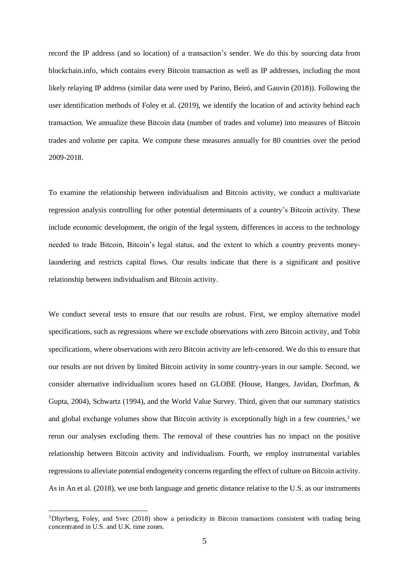record the IP address (and so location) of a transaction's sender. We do this by sourcing data from blockchain.info, which contains every Bitcoin transaction as well as IP addresses, including the most likely relaying IP address (similar data were used by Parino, Beiró, and Gauvin (2018)). Following the user identification methods of Foley et al. (2019), we identify the location of and activity behind each transaction. We annualize these Bitcoin data (number of trades and volume) into measures of Bitcoin trades and volume per capita. We compute these measures annually for 80 countries over the period 2009-2018.

To examine the relationship between individualism and Bitcoin activity, we conduct a multivariate regression analysis controlling for other potential determinants of a country's Bitcoin activity. These include economic development, the origin of the legal system, differences in access to the technology needed to trade Bitcoin, Bitcoin's legal status, and the extent to which a country prevents moneylaundering and restricts capital flows. Our results indicate that there is a significant and positive relationship between individualism and Bitcoin activity.

We conduct several tests to ensure that our results are robust. First, we employ alternative model specifications, such as regressions where we exclude observations with zero Bitcoin activity, and Tobit specifications, where observations with zero Bitcoin activity are left-censored. We do this to ensure that our results are not driven by limited Bitcoin activity in some country-years in our sample. Second, we consider alternative individualism scores based on GLOBE (House, Hanges, Javidan, Dorfman, & Gupta, 2004), Schwartz (1994), and the World Value Survey. Third, given that our summary statistics and global exchange volumes show that Bitcoin activity is exceptionally high in a few countries,<sup>3</sup> we rerun our analyses excluding them. The removal of these countries has no impact on the positive relationship between Bitcoin activity and individualism. Fourth, we employ instrumental variables regressions to alleviate potential endogeneity concerns regarding the effect of culture on Bitcoin activity. As in An et al. (2018), we use both language and genetic distance relative to the U.S. as our instruments

1

<sup>&</sup>lt;sup>3</sup>Dhyrberg, Foley, and Svec (2018) show a periodicity in Bitcoin transactions consistent with trading being concentrated in U.S. and U.K. time zones.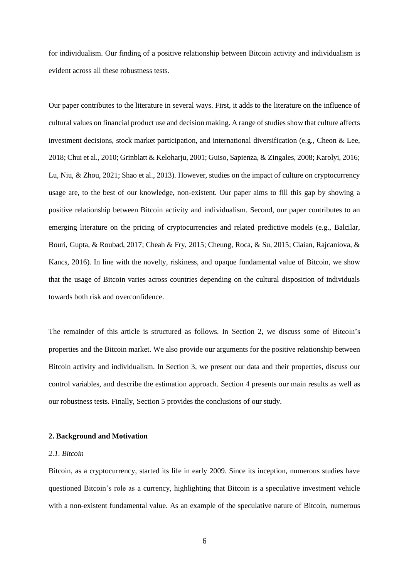for individualism. Our finding of a positive relationship between Bitcoin activity and individualism is evident across all these robustness tests.

Our paper contributes to the literature in several ways. First, it adds to the literature on the influence of cultural values on financial product use and decision making. A range of studies show that culture affects investment decisions, stock market participation, and international diversification (e.g., Cheon & Lee, 2018; Chui et al., 2010; Grinblatt & Keloharju, 2001; Guiso, Sapienza, & Zingales, 2008; Karolyi, 2016; Lu, Niu, & Zhou, 2021; Shao et al., 2013). However, studies on the impact of culture on cryptocurrency usage are, to the best of our knowledge, non-existent. Our paper aims to fill this gap by showing a positive relationship between Bitcoin activity and individualism. Second, our paper contributes to an emerging literature on the pricing of cryptocurrencies and related predictive models (e.g., Balcilar, Bouri, Gupta, & Roubad, 2017; Cheah & Fry, 2015; Cheung, Roca, & Su, 2015; Ciaian, Rajcaniova, & Kancs, 2016). In line with the novelty, riskiness, and opaque fundamental value of Bitcoin, we show that the usage of Bitcoin varies across countries depending on the cultural disposition of individuals towards both risk and overconfidence.

The remainder of this article is structured as follows. In Section 2, we discuss some of Bitcoin's properties and the Bitcoin market. We also provide our arguments for the positive relationship between Bitcoin activity and individualism. In Section 3, we present our data and their properties, discuss our control variables, and describe the estimation approach. Section 4 presents our main results as well as our robustness tests. Finally, Section 5 provides the conclusions of our study.

#### **2. Background and Motivation**

#### *2.1. Bitcoin*

Bitcoin, as a cryptocurrency, started its life in early 2009. Since its inception, numerous studies have questioned Bitcoin's role as a currency, highlighting that Bitcoin is a speculative investment vehicle with a non-existent fundamental value. As an example of the speculative nature of Bitcoin, numerous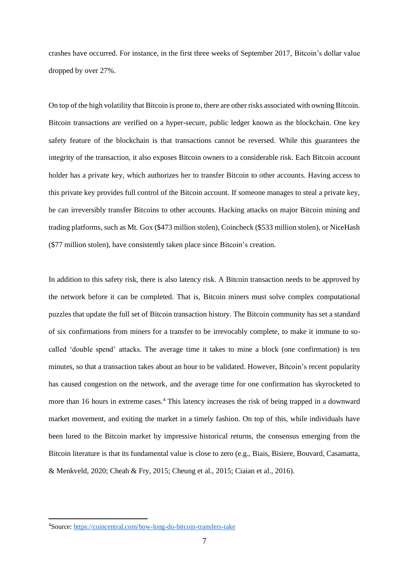crashes have occurred. For instance, in the first three weeks of September 2017, Bitcoin's dollar value dropped by over 27%.

On top of the high volatility that Bitcoin is prone to, there are other risks associated with owning Bitcoin. Bitcoin transactions are verified on a hyper-secure, public ledger known as the blockchain. One key safety feature of the blockchain is that transactions cannot be reversed. While this guarantees the integrity of the transaction, it also exposes Bitcoin owners to a considerable risk. Each Bitcoin account holder has a private key, which authorizes her to transfer Bitcoin to other accounts. Having access to this private key provides full control of the Bitcoin account. If someone manages to steal a private key, he can irreversibly transfer Bitcoins to other accounts. Hacking attacks on major Bitcoin mining and trading platforms, such as Mt. Gox (\$473 million stolen), Coincheck (\$533 million stolen), or NiceHash (\$77 million stolen), have consistently taken place since Bitcoin's creation.

In addition to this safety risk, there is also latency risk. A Bitcoin transaction needs to be approved by the network before it can be completed. That is, Bitcoin miners must solve complex computational puzzles that update the full set of Bitcoin transaction history. The Bitcoin community has set a standard of six confirmations from miners for a transfer to be irrevocably complete, to make it immune to socalled 'double spend' attacks. The average time it takes to mine a block (one confirmation) is ten minutes, so that a transaction takes about an hour to be validated. However, Bitcoin's recent popularity has caused congestion on the network, and the average time for one confirmation has skyrocketed to more than 16 hours in extreme cases.<sup>4</sup> This latency increases the risk of being trapped in a downward market movement, and exiting the market in a timely fashion. On top of this, while individuals have been lured to the Bitcoin market by impressive historical returns, the consensus emerging from the Bitcoin literature is that its fundamental value is close to zero (e.g., Biais, Bisiere, Bouvard, Casamatta, & Menkveld, 2020; Cheah & Fry, 2015; Cheung et al., 2015; Ciaian et al., 2016).

 $\overline{a}$ 

<sup>4</sup>Source:<https://coincentral.com/how-long-do-bitcoin-transfers-take>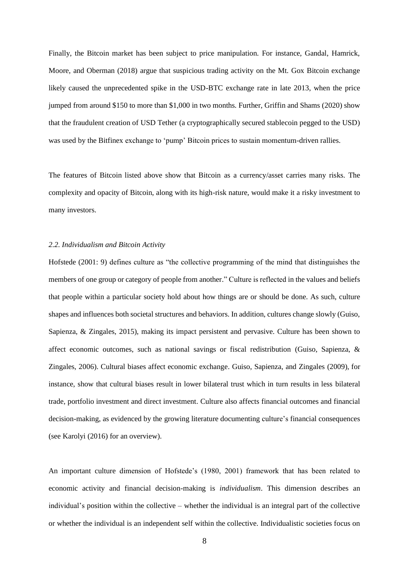Finally, the Bitcoin market has been subject to price manipulation. For instance, Gandal, Hamrick, Moore, and Oberman (2018) argue that suspicious trading activity on the Mt. Gox Bitcoin exchange likely caused the unprecedented spike in the USD-BTC exchange rate in late 2013, when the price jumped from around \$150 to more than \$1,000 in two months. Further, Griffin and Shams (2020) show that the fraudulent creation of USD Tether (a cryptographically secured stablecoin pegged to the USD) was used by the Bitfinex exchange to 'pump' Bitcoin prices to sustain momentum-driven rallies.

The features of Bitcoin listed above show that Bitcoin as a currency/asset carries many risks. The complexity and opacity of Bitcoin, along with its high-risk nature, would make it a risky investment to many investors.

### *2.2. Individualism and Bitcoin Activity*

Hofstede (2001: 9) defines culture as "the collective programming of the mind that distinguishes the members of one group or category of people from another." Culture is reflected in the values and beliefs that people within a particular society hold about how things are or should be done. As such, culture shapes and influences both societal structures and behaviors. In addition, cultures change slowly (Guiso, Sapienza, & Zingales, 2015), making its impact persistent and pervasive. Culture has been shown to affect economic outcomes, such as national savings or fiscal redistribution (Guiso, Sapienza, & Zingales, 2006). Cultural biases affect economic exchange. Guiso, Sapienza, and Zingales (2009), for instance, show that cultural biases result in lower bilateral trust which in turn results in less bilateral trade, portfolio investment and direct investment. Culture also affects financial outcomes and financial decision-making, as evidenced by the growing literature documenting culture's financial consequences (see Karolyi (2016) for an overview).

An important culture dimension of Hofstede's (1980, 2001) framework that has been related to economic activity and financial decision-making is *individualism*. This dimension describes an individual's position within the collective – whether the individual is an integral part of the collective or whether the individual is an independent self within the collective. Individualistic societies focus on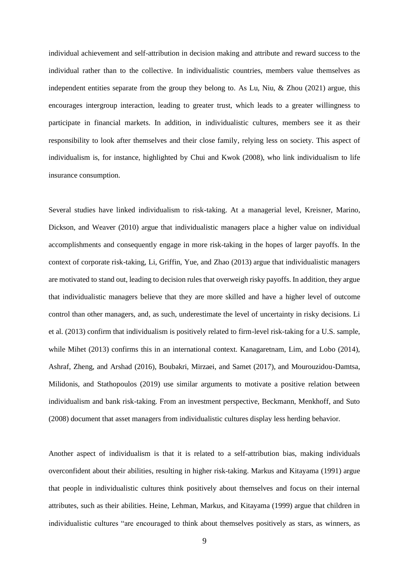individual achievement and self-attribution in decision making and attribute and reward success to the individual rather than to the collective. In individualistic countries, members value themselves as independent entities separate from the group they belong to. As Lu, Niu, & Zhou (2021) argue, this encourages intergroup interaction, leading to greater trust, which leads to a greater willingness to participate in financial markets. In addition, in individualistic cultures, members see it as their responsibility to look after themselves and their close family, relying less on society. This aspect of individualism is, for instance, highlighted by Chui and Kwok (2008), who link individualism to life insurance consumption.

Several studies have linked individualism to risk-taking. At a managerial level, Kreisner, Marino, Dickson, and Weaver (2010) argue that individualistic managers place a higher value on individual accomplishments and consequently engage in more risk-taking in the hopes of larger payoffs. In the context of corporate risk-taking, Li, Griffin, Yue, and Zhao (2013) argue that individualistic managers are motivated to stand out, leading to decision rules that overweigh risky payoffs. In addition, they argue that individualistic managers believe that they are more skilled and have a higher level of outcome control than other managers, and, as such, underestimate the level of uncertainty in risky decisions. Li et al. (2013) confirm that individualism is positively related to firm-level risk-taking for a U.S. sample, while Mihet (2013) confirms this in an international context. Kanagaretnam, Lim, and Lobo (2014), Ashraf, Zheng, and Arshad (2016), Boubakri, Mirzaei, and Samet (2017), and Mourouzidou-Damtsa, Milidonis, and Stathopoulos (2019) use similar arguments to motivate a positive relation between individualism and bank risk-taking. From an investment perspective, Beckmann, Menkhoff, and Suto (2008) document that asset managers from individualistic cultures display less herding behavior.

Another aspect of individualism is that it is related to a self-attribution bias, making individuals overconfident about their abilities, resulting in higher risk-taking. Markus and Kitayama (1991) argue that people in individualistic cultures think positively about themselves and focus on their internal attributes, such as their abilities. Heine, Lehman, Markus, and Kitayama (1999) argue that children in individualistic cultures "are encouraged to think about themselves positively as stars, as winners, as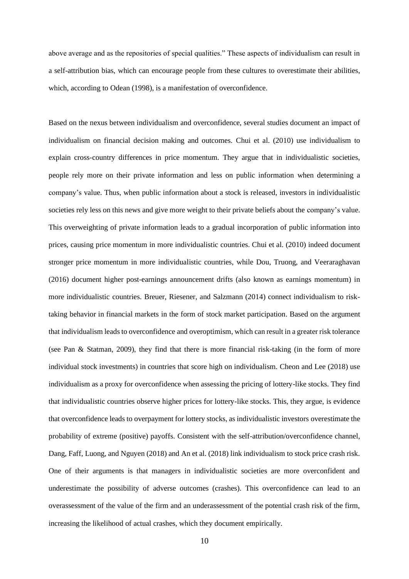above average and as the repositories of special qualities." These aspects of individualism can result in a self-attribution bias, which can encourage people from these cultures to overestimate their abilities, which, according to Odean (1998), is a manifestation of overconfidence.

Based on the nexus between individualism and overconfidence, several studies document an impact of individualism on financial decision making and outcomes. Chui et al. (2010) use individualism to explain cross-country differences in price momentum. They argue that in individualistic societies, people rely more on their private information and less on public information when determining a company's value. Thus, when public information about a stock is released, investors in individualistic societies rely less on this news and give more weight to their private beliefs about the company's value. This overweighting of private information leads to a gradual incorporation of public information into prices, causing price momentum in more individualistic countries. Chui et al. (2010) indeed document stronger price momentum in more individualistic countries, while Dou, Truong, and Veeraraghavan (2016) document higher post-earnings announcement drifts (also known as earnings momentum) in more individualistic countries. Breuer, Riesener, and Salzmann (2014) connect individualism to risktaking behavior in financial markets in the form of stock market participation. Based on the argument that individualism leads to overconfidence and overoptimism, which can result in a greater risk tolerance (see Pan & Statman, 2009), they find that there is more financial risk-taking (in the form of more individual stock investments) in countries that score high on individualism. Cheon and Lee (2018) use individualism as a proxy for overconfidence when assessing the pricing of lottery-like stocks. They find that individualistic countries observe higher prices for lottery-like stocks. This, they argue, is evidence that overconfidence leads to overpayment for lottery stocks, as individualistic investors overestimate the probability of extreme (positive) payoffs. Consistent with the self-attribution/overconfidence channel, Dang, Faff, Luong, and Nguyen (2018) and An et al. (2018) link individualism to stock price crash risk. One of their arguments is that managers in individualistic societies are more overconfident and underestimate the possibility of adverse outcomes (crashes). This overconfidence can lead to an overassessment of the value of the firm and an underassessment of the potential crash risk of the firm, increasing the likelihood of actual crashes, which they document empirically.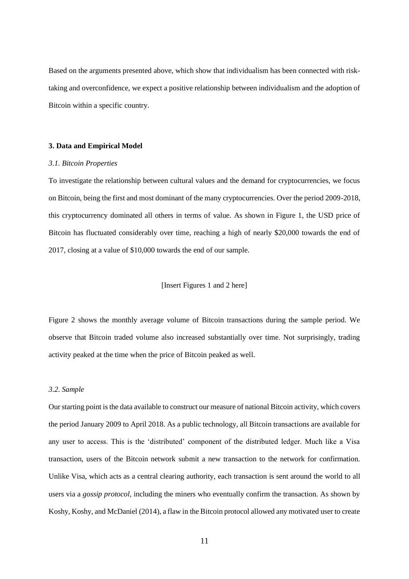Based on the arguments presented above, which show that individualism has been connected with risktaking and overconfidence, we expect a positive relationship between individualism and the adoption of Bitcoin within a specific country.

#### **3. Data and Empirical Model**

#### *3.1. Bitcoin Properties*

To investigate the relationship between cultural values and the demand for cryptocurrencies, we focus on Bitcoin, being the first and most dominant of the many cryptocurrencies. Over the period 2009-2018, this cryptocurrency dominated all others in terms of value. As shown in Figure 1, the USD price of Bitcoin has fluctuated considerably over time, reaching a high of nearly \$20,000 towards the end of 2017, closing at a value of \$10,000 towards the end of our sample.

### [Insert Figures 1 and 2 here]

Figure 2 shows the monthly average volume of Bitcoin transactions during the sample period. We observe that Bitcoin traded volume also increased substantially over time. Not surprisingly, trading activity peaked at the time when the price of Bitcoin peaked as well.

#### *3.2. Sample*

Our starting point is the data available to construct our measure of national Bitcoin activity, which covers the period January 2009 to April 2018. As a public technology, all Bitcoin transactions are available for any user to access. This is the 'distributed' component of the distributed ledger. Much like a Visa transaction, users of the Bitcoin network submit a new transaction to the network for confirmation. Unlike Visa, which acts as a central clearing authority, each transaction is sent around the world to all users via a *gossip protocol*, including the miners who eventually confirm the transaction. As shown by Koshy, Koshy, and McDaniel (2014), a flaw in the Bitcoin protocol allowed any motivated user to create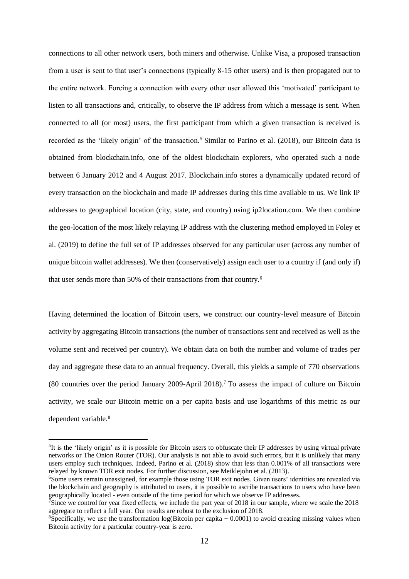connections to all other network users, both miners and otherwise. Unlike Visa, a proposed transaction from a user is sent to that user's connections (typically 8-15 other users) and is then propagated out to the entire network. Forcing a connection with every other user allowed this 'motivated' participant to listen to all transactions and, critically, to observe the IP address from which a message is sent. When connected to all (or most) users, the first participant from which a given transaction is received is recorded as the 'likely origin' of the transaction.<sup>5</sup> Similar to Parino et al. (2018), our Bitcoin data is obtained from blockchain.info, one of the oldest blockchain explorers, who operated such a node between 6 January 2012 and 4 August 2017. Blockchain.info stores a dynamically updated record of every transaction on the blockchain and made IP addresses during this time available to us. We link IP addresses to geographical location (city, state, and country) using ip2location.com. We then combine the geo-location of the most likely relaying IP address with the clustering method employed in Foley et al. (2019) to define the full set of IP addresses observed for any particular user (across any number of unique bitcoin wallet addresses). We then (conservatively) assign each user to a country if (and only if) that user sends more than 50% of their transactions from that country.<sup>6</sup>

Having determined the location of Bitcoin users, we construct our country-level measure of Bitcoin activity by aggregating Bitcoin transactions (the number of transactions sent and received as well as the volume sent and received per country). We obtain data on both the number and volume of trades per day and aggregate these data to an annual frequency. Overall, this yields a sample of 770 observations (80 countries over the period January 2009-April 2018).<sup>7</sup> To assess the impact of culture on Bitcoin activity, we scale our Bitcoin metric on a per capita basis and use logarithms of this metric as our dependent variable.<sup>8</sup>

1

<sup>&</sup>lt;sup>5</sup>It is the 'likely origin' as it is possible for Bitcoin users to obfuscate their IP addresses by using virtual private networks or The Onion Router (TOR). Our analysis is not able to avoid such errors, but it is unlikely that many users employ such techniques. Indeed, Parino et al. (2018) show that less than 0.001% of all transactions were relayed by known TOR exit nodes. For further discussion, see Meiklejohn et al. (2013).

<sup>&</sup>lt;sup>6</sup>Some users remain unassigned, for example those using TOR exit nodes. Given users' identities are revealed via the blockchain and geography is attributed to users, it is possible to ascribe transactions to users who have been geographically located - even outside of the time period for which we observe IP addresses.

 $\frac{7}{5}$  Since we control for year fixed effects, we include the part year of 2018 in our sample, where we scale the 2018 aggregate to reflect a full year. Our results are robust to the exclusion of 2018.

<sup>&</sup>lt;sup>8</sup>Specifically, we use the transformation  $log(Bitcoin)$  per capita  $+ 0.0001$ ) to avoid creating missing values when Bitcoin activity for a particular country-year is zero.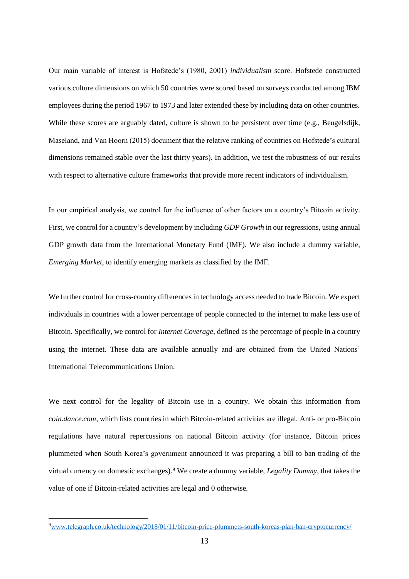Our main variable of interest is Hofstede's (1980, 2001) *individualism* score. Hofstede constructed various culture dimensions on which 50 countries were scored based on surveys conducted among IBM employees during the period 1967 to 1973 and later extended these by including data on other countries. While these scores are arguably dated, culture is shown to be persistent over time (e.g., Beugelsdijk, Maseland, and Van Hoorn (2015) document that the relative ranking of countries on Hofstede's cultural dimensions remained stable over the last thirty years). In addition, we test the robustness of our results with respect to alternative culture frameworks that provide more recent indicators of individualism.

In our empirical analysis, we control for the influence of other factors on a country's Bitcoin activity. First, we control for a country's development by including *GDP Growth* in our regressions, using annual GDP growth data from the International Monetary Fund (IMF). We also include a dummy variable, *Emerging Market*, to identify emerging markets as classified by the IMF.

We further control for cross-country differences in technology access needed to trade Bitcoin. We expect individuals in countries with a lower percentage of people connected to the internet to make less use of Bitcoin. Specifically, we control for *Internet Coverage*, defined as the percentage of people in a country using the internet. These data are available annually and are obtained from the United Nations' International Telecommunications Union.

We next control for the legality of Bitcoin use in a country. We obtain this information from *coin.dance.com*, which lists countries in which Bitcoin-related activities are illegal. Anti- or pro-Bitcoin regulations have natural repercussions on national Bitcoin activity (for instance, Bitcoin prices plummeted when South Korea's government announced it was preparing a bill to ban trading of the virtual currency on domestic exchanges).<sup>9</sup> We create a dummy variable, *Legality Dummy*, that takes the value of one if Bitcoin-related activities are legal and 0 otherwise.

 $\overline{a}$ 

<sup>9</sup>[www.telegraph.co.uk/technology/2018/01/11/bitcoin-price-plummets-south-koreas-plan-ban-cryptocurrency/](http://www.telegraph.co.uk/technology/2018/01/11/bitcoin-price-plummets-south-koreas-plan-ban-cryptocurrency/)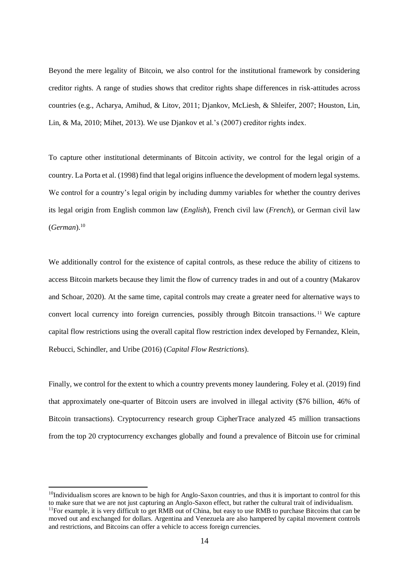Beyond the mere legality of Bitcoin, we also control for the institutional framework by considering creditor rights. A range of studies shows that creditor rights shape differences in risk-attitudes across countries (e.g., Acharya, Amihud, & Litov, 2011; Djankov, McLiesh, & Shleifer, 2007; Houston, Lin, Lin, & Ma, 2010; Mihet, 2013). We use Djankov et al.'s (2007) creditor rights index.

To capture other institutional determinants of Bitcoin activity, we control for the legal origin of a country. La Porta et al. (1998) find that legal origins influence the development of modern legal systems. We control for a country's legal origin by including dummy variables for whether the country derives its legal origin from English common law (*English*), French civil law (*French*), or German civil law (*German*).<sup>10</sup>

We additionally control for the existence of capital controls, as these reduce the ability of citizens to access Bitcoin markets because they limit the flow of currency trades in and out of a country (Makarov and Schoar, 2020). At the same time, capital controls may create a greater need for alternative ways to convert local currency into foreign currencies, possibly through Bitcoin transactions. <sup>11</sup> We capture capital flow restrictions using the overall capital flow restriction index developed by Fernandez, Klein, Rebucci, Schindler, and Uribe (2016) (*Capital Flow Restrictions*).

Finally, we control for the extent to which a country prevents money laundering. Foley et al. (2019) find that approximately one-quarter of Bitcoin users are involved in illegal activity (\$76 billion, 46% of Bitcoin transactions). Cryptocurrency research group CipherTrace analyzed 45 million transactions from the top 20 cryptocurrency exchanges globally and found a prevalence of Bitcoin use for criminal

1

<sup>&</sup>lt;sup>10</sup>Individualism scores are known to be high for Anglo-Saxon countries, and thus it is important to control for this to make sure that we are not just capturing an Anglo-Saxon effect, but rather the cultural trait of individualism. <sup>11</sup>For example, it is very difficult to get RMB out of China, but easy to use RMB to purchase Bitcoins that can be moved out and exchanged for dollars. Argentina and Venezuela are also hampered by capital movement controls and restrictions, and Bitcoins can offer a vehicle to access foreign currencies.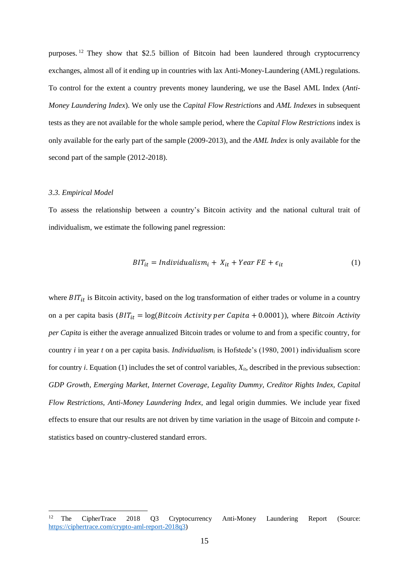purposes. <sup>12</sup> They show that \$2.5 billion of Bitcoin had been laundered through cryptocurrency exchanges, almost all of it ending up in countries with lax Anti-Money-Laundering (AML) regulations. To control for the extent a country prevents money laundering, we use the Basel AML Index (*Anti-Money Laundering Index*). We only use the *Capital Flow Restrictions* and *AML Indexes* in subsequent tests as they are not available for the whole sample period, where the *Capital Flow Restrictions* index is only available for the early part of the sample (2009-2013), and the *AML Index* is only available for the second part of the sample (2012-2018).

#### *3.3. Empirical Model*

1

To assess the relationship between a country's Bitcoin activity and the national cultural trait of individualism, we estimate the following panel regression:

$$
BIT_{it} = Individualism_i + X_{it} + Year\ FE + \epsilon_{it}
$$
 (1)

where  $BIT_{it}$  is Bitcoin activity, based on the log transformation of either trades or volume in a country on a per capita basis ( $BIT_{it} = log(Bitcoin Activity per Capita + 0.0001)$ ), where *Bitcoin Activity per Capita* is either the average annualized Bitcoin trades or volume to and from a specific country, for country *i* in year *t* on a per capita basis. *Individualism<sup>i</sup>* is Hofstede's (1980, 2001) individualism score for country *i*. Equation (1) includes the set of control variables, *Xit*, described in the previous subsection: *GDP Growth, Emerging Market, Internet Coverage, Legality Dummy, Creditor Rights Index, Capital Flow Restrictions, Anti-Money Laundering Index,* and legal origin dummies. We include year fixed effects to ensure that our results are not driven by time variation in the usage of Bitcoin and compute *t*statistics based on country-clustered standard errors.

<sup>12</sup> The CipherTrace 2018 Q3 Cryptocurrency Anti-Money Laundering Report (Source: [https://ciphertrace.com/crypto-aml-report-2018q3\)](https://ciphertrace.com/crypto-aml-report-2018q3)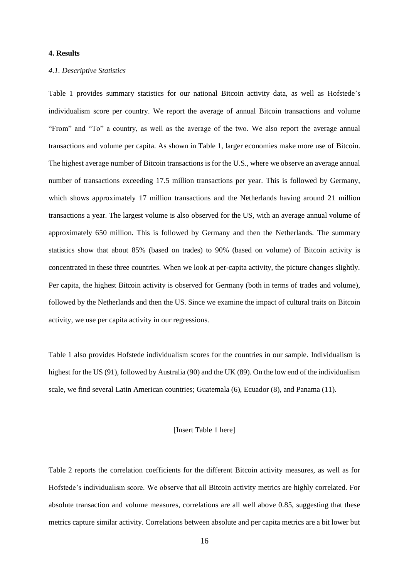# **4. Results**

#### *4.1. Descriptive Statistics*

Table 1 provides summary statistics for our national Bitcoin activity data, as well as Hofstede's individualism score per country. We report the average of annual Bitcoin transactions and volume "From" and "To" a country, as well as the average of the two. We also report the average annual transactions and volume per capita. As shown in Table 1, larger economies make more use of Bitcoin. The highest average number of Bitcoin transactions is for the U.S., where we observe an average annual number of transactions exceeding 17.5 million transactions per year. This is followed by Germany, which shows approximately 17 million transactions and the Netherlands having around 21 million transactions a year. The largest volume is also observed for the US, with an average annual volume of approximately 650 million. This is followed by Germany and then the Netherlands. The summary statistics show that about 85% (based on trades) to 90% (based on volume) of Bitcoin activity is concentrated in these three countries. When we look at per-capita activity, the picture changes slightly. Per capita, the highest Bitcoin activity is observed for Germany (both in terms of trades and volume), followed by the Netherlands and then the US. Since we examine the impact of cultural traits on Bitcoin activity, we use per capita activity in our regressions.

Table 1 also provides Hofstede individualism scores for the countries in our sample. Individualism is highest for the US (91), followed by Australia (90) and the UK (89). On the low end of the individualism scale, we find several Latin American countries; Guatemala (6), Ecuador (8), and Panama (11).

## [Insert Table 1 here]

Table 2 reports the correlation coefficients for the different Bitcoin activity measures, as well as for Hofstede's individualism score. We observe that all Bitcoin activity metrics are highly correlated. For absolute transaction and volume measures, correlations are all well above 0.85, suggesting that these metrics capture similar activity. Correlations between absolute and per capita metrics are a bit lower but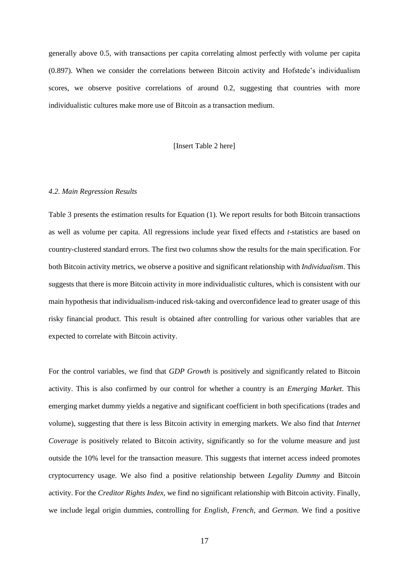generally above 0.5, with transactions per capita correlating almost perfectly with volume per capita (0.897). When we consider the correlations between Bitcoin activity and Hofstede's individualism scores, we observe positive correlations of around 0.2, suggesting that countries with more individualistic cultures make more use of Bitcoin as a transaction medium.

[Insert Table 2 here]

#### *4.2. Main Regression Results*

Table 3 presents the estimation results for Equation (1). We report results for both Bitcoin transactions as well as volume per capita. All regressions include year fixed effects and *t*-statistics are based on country-clustered standard errors. The first two columns show the results for the main specification. For both Bitcoin activity metrics, we observe a positive and significant relationship with *Individualism*. This suggests that there is more Bitcoin activity in more individualistic cultures, which is consistent with our main hypothesis that individualism-induced risk-taking and overconfidence lead to greater usage of this risky financial product. This result is obtained after controlling for various other variables that are expected to correlate with Bitcoin activity.

For the control variables, we find that *GDP Growth* is positively and significantly related to Bitcoin activity. This is also confirmed by our control for whether a country is an *Emerging Market*. This emerging market dummy yields a negative and significant coefficient in both specifications (trades and volume), suggesting that there is less Bitcoin activity in emerging markets. We also find that *Internet Coverage* is positively related to Bitcoin activity, significantly so for the volume measure and just outside the 10% level for the transaction measure. This suggests that internet access indeed promotes cryptocurrency usage. We also find a positive relationship between *Legality Dummy* and Bitcoin activity. For the *Creditor Rights Index*, we find no significant relationship with Bitcoin activity. Finally, we include legal origin dummies, controlling for *English*, *French*, and *German*. We find a positive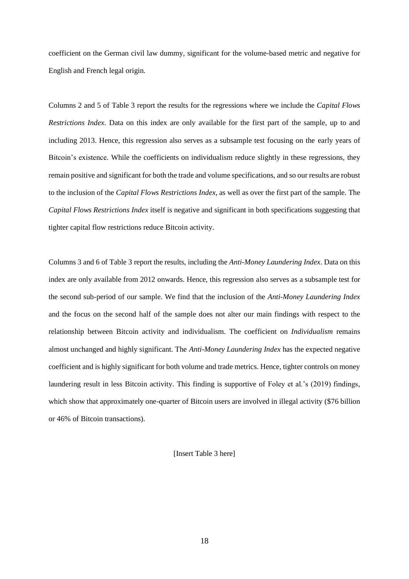coefficient on the German civil law dummy, significant for the volume-based metric and negative for English and French legal origin.

Columns 2 and 5 of Table 3 report the results for the regressions where we include the *Capital Flows Restrictions Index*. Data on this index are only available for the first part of the sample, up to and including 2013. Hence, this regression also serves as a subsample test focusing on the early years of Bitcoin's existence. While the coefficients on individualism reduce slightly in these regressions, they remain positive and significant for both the trade and volume specifications, and so our results are robust to the inclusion of the *Capital Flows Restrictions Index*, as well as over the first part of the sample. The *Capital Flows Restrictions Index* itself is negative and significant in both specifications suggesting that tighter capital flow restrictions reduce Bitcoin activity.

Columns 3 and 6 of Table 3 report the results, including the *Anti-Money Laundering Index*. Data on this index are only available from 2012 onwards. Hence, this regression also serves as a subsample test for the second sub-period of our sample. We find that the inclusion of the *Anti-Money Laundering Index* and the focus on the second half of the sample does not alter our main findings with respect to the relationship between Bitcoin activity and individualism. The coefficient on *Individualism* remains almost unchanged and highly significant. The *Anti-Money Laundering Index* has the expected negative coefficient and is highly significant for both volume and trade metrics. Hence, tighter controls on money laundering result in less Bitcoin activity. This finding is supportive of Foley et al.'s (2019) findings, which show that approximately one-quarter of Bitcoin users are involved in illegal activity (\$76 billion or 46% of Bitcoin transactions).

[Insert Table 3 here]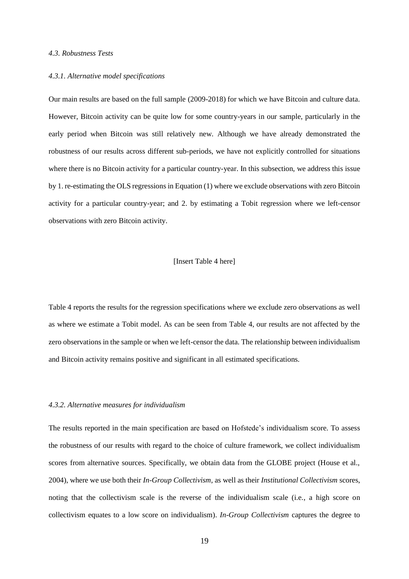#### *4.3. Robustness Tests*

#### *4.3.1. Alternative model specifications*

Our main results are based on the full sample (2009-2018) for which we have Bitcoin and culture data. However, Bitcoin activity can be quite low for some country-years in our sample, particularly in the early period when Bitcoin was still relatively new. Although we have already demonstrated the robustness of our results across different sub-periods, we have not explicitly controlled for situations where there is no Bitcoin activity for a particular country-year. In this subsection, we address this issue by 1. re-estimating the OLS regressions in Equation (1) where we exclude observations with zero Bitcoin activity for a particular country-year; and 2. by estimating a Tobit regression where we left-censor observations with zero Bitcoin activity.

#### [Insert Table 4 here]

Table 4 reports the results for the regression specifications where we exclude zero observations as well as where we estimate a Tobit model. As can be seen from Table 4, our results are not affected by the zero observations in the sample or when we left-censor the data. The relationship between individualism and Bitcoin activity remains positive and significant in all estimated specifications.

#### *4.3.2. Alternative measures for individualism*

The results reported in the main specification are based on Hofstede's individualism score. To assess the robustness of our results with regard to the choice of culture framework, we collect individualism scores from alternative sources. Specifically, we obtain data from the GLOBE project (House et al., 2004), where we use both their *In-Group Collectivism*, as well as their *Institutional Collectivism* scores, noting that the collectivism scale is the reverse of the individualism scale (i.e., a high score on collectivism equates to a low score on individualism). *In-Group Collectivism* captures the degree to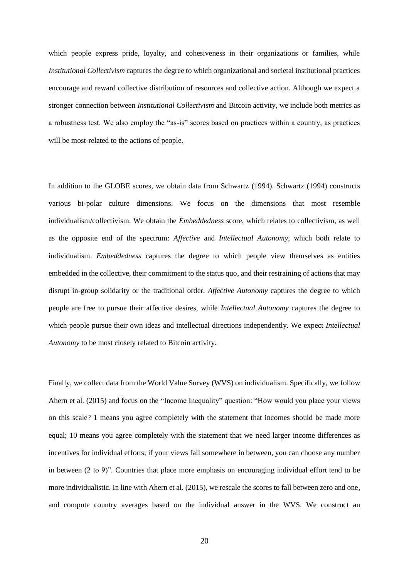which people express pride, loyalty, and cohesiveness in their organizations or families, while *Institutional Collectivism* captures the degree to which organizational and societal institutional practices encourage and reward collective distribution of resources and collective action. Although we expect a stronger connection between *Institutional Collectivism* and Bitcoin activity, we include both metrics as a robustness test. We also employ the "as-is" scores based on practices within a country, as practices will be most-related to the actions of people.

In addition to the GLOBE scores, we obtain data from Schwartz (1994). Schwartz (1994) constructs various bi-polar culture dimensions. We focus on the dimensions that most resemble individualism/collectivism. We obtain the *Embeddedness* score, which relates to collectivism, as well as the opposite end of the spectrum: *Affective* and *Intellectual Autonomy*, which both relate to individualism. *Embeddedness* captures the degree to which people view themselves as entities embedded in the collective, their commitment to the status quo, and their restraining of actions that may disrupt in-group solidarity or the traditional order. *Affective Autonomy* captures the degree to which people are free to pursue their affective desires, while *Intellectual Autonomy* captures the degree to which people pursue their own ideas and intellectual directions independently. We expect *Intellectual Autonomy* to be most closely related to Bitcoin activity.

Finally, we collect data from the World Value Survey (WVS) on individualism. Specifically, we follow Ahern et al. (2015) and focus on the "Income Inequality" question: "How would you place your views on this scale? 1 means you agree completely with the statement that incomes should be made more equal; 10 means you agree completely with the statement that we need larger income differences as incentives for individual efforts; if your views fall somewhere in between, you can choose any number in between (2 to 9)". Countries that place more emphasis on encouraging individual effort tend to be more individualistic. In line with Ahern et al. (2015), we rescale the scores to fall between zero and one, and compute country averages based on the individual answer in the WVS. We construct an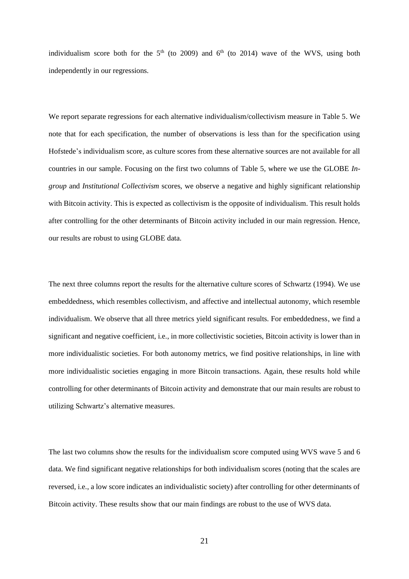individualism score both for the  $5<sup>th</sup>$  (to 2009) and  $6<sup>th</sup>$  (to 2014) wave of the WVS, using both independently in our regressions.

We report separate regressions for each alternative individualism/collectivism measure in Table 5. We note that for each specification, the number of observations is less than for the specification using Hofstede's individualism score, as culture scores from these alternative sources are not available for all countries in our sample. Focusing on the first two columns of Table 5, where we use the GLOBE *Ingroup* and *Institutional Collectivism* scores, we observe a negative and highly significant relationship with Bitcoin activity. This is expected as collectivism is the opposite of individualism. This result holds after controlling for the other determinants of Bitcoin activity included in our main regression. Hence, our results are robust to using GLOBE data.

The next three columns report the results for the alternative culture scores of Schwartz (1994). We use embeddedness, which resembles collectivism, and affective and intellectual autonomy, which resemble individualism. We observe that all three metrics yield significant results. For embeddedness, we find a significant and negative coefficient, i.e., in more collectivistic societies, Bitcoin activity is lower than in more individualistic societies. For both autonomy metrics, we find positive relationships, in line with more individualistic societies engaging in more Bitcoin transactions. Again, these results hold while controlling for other determinants of Bitcoin activity and demonstrate that our main results are robust to utilizing Schwartz's alternative measures.

The last two columns show the results for the individualism score computed using WVS wave 5 and 6 data. We find significant negative relationships for both individualism scores (noting that the scales are reversed, i.e., a low score indicates an individualistic society) after controlling for other determinants of Bitcoin activity. These results show that our main findings are robust to the use of WVS data.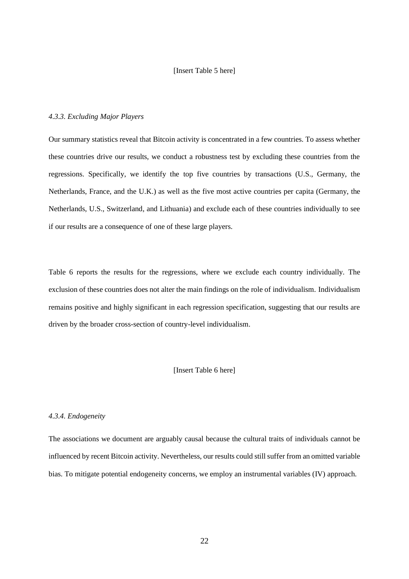#### [Insert Table 5 here]

# *4.3.3. Excluding Major Players*

Our summary statistics reveal that Bitcoin activity is concentrated in a few countries. To assess whether these countries drive our results, we conduct a robustness test by excluding these countries from the regressions. Specifically, we identify the top five countries by transactions (U.S., Germany, the Netherlands, France, and the U.K.) as well as the five most active countries per capita (Germany, the Netherlands, U.S., Switzerland, and Lithuania) and exclude each of these countries individually to see if our results are a consequence of one of these large players.

Table 6 reports the results for the regressions, where we exclude each country individually. The exclusion of these countries does not alter the main findings on the role of individualism. Individualism remains positive and highly significant in each regression specification, suggesting that our results are driven by the broader cross-section of country-level individualism.

### [Insert Table 6 here]

#### *4.3.4. Endogeneity*

The associations we document are arguably causal because the cultural traits of individuals cannot be influenced by recent Bitcoin activity. Nevertheless, our results could still suffer from an omitted variable bias. To mitigate potential endogeneity concerns, we employ an instrumental variables (IV) approach.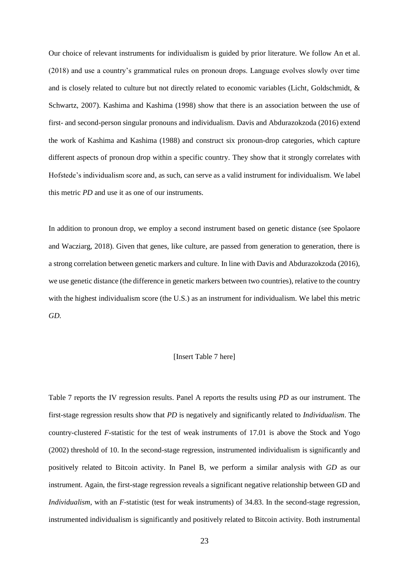Our choice of relevant instruments for individualism is guided by prior literature. We follow An et al. (2018) and use a country's grammatical rules on pronoun drops. Language evolves slowly over time and is closely related to culture but not directly related to economic variables (Licht, Goldschmidt, & Schwartz, 2007). Kashima and Kashima (1998) show that there is an association between the use of first- and second-person singular pronouns and individualism. Davis and Abdurazokzoda (2016) extend the work of Kashima and Kashima (1988) and construct six pronoun-drop categories, which capture different aspects of pronoun drop within a specific country. They show that it strongly correlates with Hofstede's individualism score and, as such, can serve as a valid instrument for individualism. We label this metric *PD* and use it as one of our instruments.

In addition to pronoun drop, we employ a second instrument based on genetic distance (see Spolaore and Wacziarg, 2018). Given that genes, like culture, are passed from generation to generation, there is a strong correlation between genetic markers and culture. In line with Davis and Abdurazokzoda (2016), we use genetic distance (the difference in genetic markers between two countries), relative to the country with the highest individualism score (the U.S.) as an instrument for individualism. We label this metric *GD.*

## [Insert Table 7 here]

Table 7 reports the IV regression results. Panel A reports the results using *PD* as our instrument. The first-stage regression results show that *PD* is negatively and significantly related to *Individualism*. The country-clustered *F*-statistic for the test of weak instruments of 17.01 is above the Stock and Yogo (2002) threshold of 10. In the second-stage regression, instrumented individualism is significantly and positively related to Bitcoin activity. In Panel B, we perform a similar analysis with *GD* as our instrument. Again, the first-stage regression reveals a significant negative relationship between GD and *Individualism*, with an *F*-statistic (test for weak instruments) of 34.83. In the second-stage regression, instrumented individualism is significantly and positively related to Bitcoin activity. Both instrumental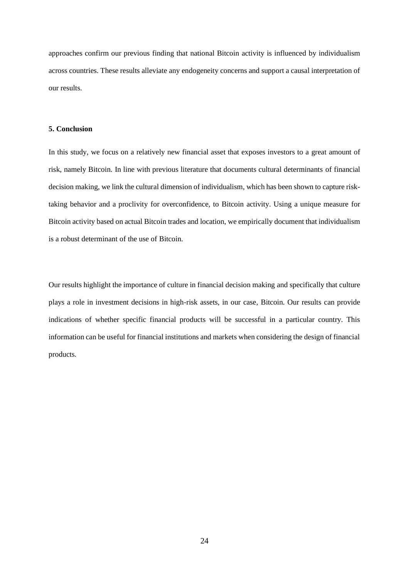approaches confirm our previous finding that national Bitcoin activity is influenced by individualism across countries. These results alleviate any endogeneity concerns and support a causal interpretation of our results.

#### **5. Conclusion**

In this study, we focus on a relatively new financial asset that exposes investors to a great amount of risk, namely Bitcoin. In line with previous literature that documents cultural determinants of financial decision making, we link the cultural dimension of individualism, which has been shown to capture risktaking behavior and a proclivity for overconfidence, to Bitcoin activity. Using a unique measure for Bitcoin activity based on actual Bitcoin trades and location, we empirically document that individualism is a robust determinant of the use of Bitcoin.

Our results highlight the importance of culture in financial decision making and specifically that culture plays a role in investment decisions in high-risk assets, in our case, Bitcoin. Our results can provide indications of whether specific financial products will be successful in a particular country. This information can be useful for financial institutions and markets when considering the design of financial products.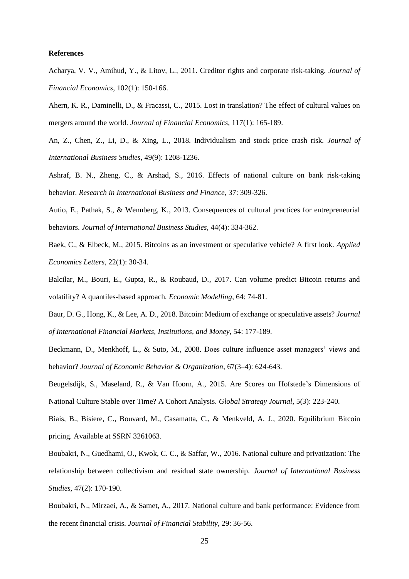#### **References**

Acharya, V. V., Amihud, Y., & Litov, L., 2011. Creditor rights and corporate risk-taking. *Journal of Financial Economics*, 102(1): 150-166.

Ahern, K. R., Daminelli, D., & Fracassi, C., 2015. Lost in translation? The effect of cultural values on mergers around the world. *Journal of Financial Economics*, 117(1): 165-189.

An, Z., Chen, Z., Li, D., & Xing, L., 2018. Individualism and stock price crash risk. *Journal of International Business Studies*, 49(9): 1208-1236.

Ashraf, B. N., Zheng, C., & Arshad, S., 2016. Effects of national culture on bank risk-taking behavior. *Research in International Business and Finance*, 37: 309-326.

Autio, E., Pathak, S., & Wennberg, K., 2013. Consequences of cultural practices for entrepreneurial behaviors. *Journal of International Business Studies*, 44(4): 334-362.

Baek, C., & Elbeck, M., 2015. Bitcoins as an investment or speculative vehicle? A first look. *Applied Economics Letters*, 22(1): 30-34.

Balcilar, M., Bouri, E., Gupta, R., & Roubaud, D., 2017. Can volume predict Bitcoin returns and volatility? A quantiles-based approach. *Economic Modelling*, 64: 74-81.

Baur, D. G., Hong, K., & Lee, A. D., 2018. Bitcoin: Medium of exchange or speculative assets? *Journal of International Financial Markets, Institutions, and Money*, 54: 177-189.

Beckmann, D., Menkhoff, L., & Suto, M., 2008. Does culture influence asset managers' views and behavior? *Journal of Economic Behavior & Organization*, 67(3–4): 624-643.

Beugelsdijk, S., Maseland, R., & Van Hoorn, A., 2015. Are Scores on Hofstede's Dimensions of National Culture Stable over Time? A Cohort Analysis. *Global Strategy Journal*, 5(3): 223-240.

Biais, B., Bisiere, C., Bouvard, M., Casamatta, C., & Menkveld, A. J., 2020. Equilibrium Bitcoin pricing. Available at SSRN 3261063.

Boubakri, N., Guedhami, O., Kwok, C. C., & Saffar, W., 2016. National culture and privatization: The relationship between collectivism and residual state ownership. *Journal of International Business Studies*, 47(2): 170-190.

Boubakri, N., Mirzaei, A., & Samet, A., 2017. National culture and bank performance: Evidence from the recent financial crisis. *Journal of Financial Stability*, 29: 36-56.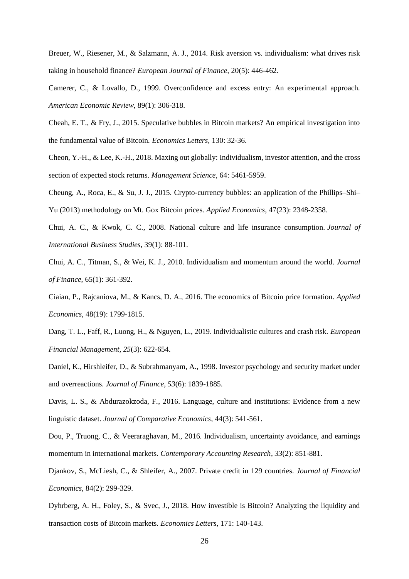Breuer, W., Riesener, M., & Salzmann, A. J., 2014. Risk aversion vs. individualism: what drives risk taking in household finance? *European Journal of Finance*, 20(5): 446-462.

Camerer, C., & Lovallo, D., 1999. Overconfidence and excess entry: An experimental approach. *American Economic Review*, 89(1): 306-318.

Cheah, E. T., & Fry, J., 2015. Speculative bubbles in Bitcoin markets? An empirical investigation into the fundamental value of Bitcoin. *Economics Letters*, 130: 32-36.

Cheon, Y.-H., & Lee, K.-H., 2018. Maxing out globally: Individualism, investor attention, and the cross section of expected stock returns. *Management Science*, 64: 5461-5959.

Cheung, A., Roca, E., & Su, J. J., 2015. Crypto-currency bubbles: an application of the Phillips–Shi– Yu (2013) methodology on Mt. Gox Bitcoin prices. *Applied Economics*, 47(23): 2348-2358.

Chui, A. C., & Kwok, C. C., 2008. National culture and life insurance consumption. *Journal of International Business Studies*, 39(1): 88-101.

Chui, A. C., Titman, S., & Wei, K. J., 2010. Individualism and momentum around the world. *Journal of Finance*, 65(1): 361-392.

Ciaian, P., Rajcaniova, M., & Kancs, D. A., 2016. The economics of Bitcoin price formation. *Applied Economics*, 48(19): 1799-1815.

Dang, T. L., Faff, R., Luong, H., & Nguyen, L., 2019. Individualistic cultures and crash risk. *European Financial Management*, *25*(3): 622-654.

Daniel, K., Hirshleifer, D., & Subrahmanyam, A., 1998. Investor psychology and security market under and overreactions. *Journal of Finance*, *53*(6): 1839-1885.

Davis, L. S., & Abdurazokzoda, F., 2016. Language, culture and institutions: Evidence from a new linguistic dataset. *Journal of Comparative Economics*, 44(3): 541-561.

Dou, P., Truong, C., & Veeraraghavan, M., 2016. Individualism, uncertainty avoidance, and earnings momentum in international markets. *Contemporary Accounting Research*, *33*(2): 851-881.

Djankov, S., McLiesh, C., & Shleifer, A., 2007. Private credit in 129 countries. *Journal of Financial Economics*, 84(2): 299-329.

Dyhrberg, A. H., Foley, S., & Svec, J., 2018. How investible is Bitcoin? Analyzing the liquidity and transaction costs of Bitcoin markets. *Economics Letters*, 171: 140-143.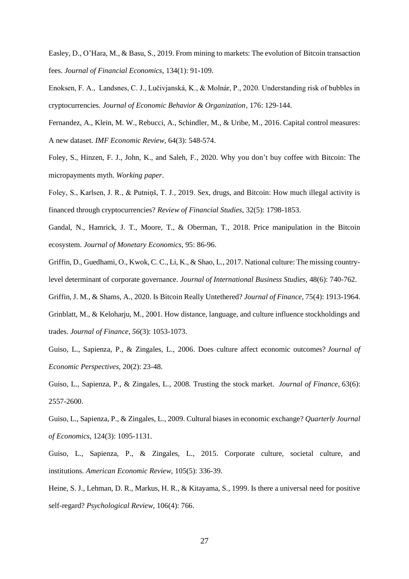Easley, D., O'Hara, M., & Basu, S., 2019. From mining to markets: The evolution of Bitcoin transaction fees. *Journal of Financial Economics*, 134(1): 91-109.

Enoksen, F. A., Landsnes, C. J., Lučivjanská, K., & Molnár, P., 2020. Understanding risk of bubbles in cryptocurrencies. *Journal of Economic Behavior & Organization*, 176: 129-144.

Fernandez, A., Klein, M. W., Rebucci, A., Schindler, M., & Uribe, M., 2016. Capital control measures: A new dataset. *IMF Economic Review*, 64(3): 548-574.

Foley, S., Hinzen, F. J., John, K., and Saleh, F., 2020. Why you don't buy coffee with Bitcoin: The micropayments myth. *Working paper*.

Foley, S., Karlsen, J. R., & Putniņš, T. J., 2019. Sex, drugs, and Bitcoin: How much illegal activity is financed through cryptocurrencies? *Review of Financial Studies*, 32(5): 1798-1853.

Gandal, N., Hamrick, J. T., Moore, T., & Oberman, T., 2018. Price manipulation in the Bitcoin ecosystem. *Journal of Monetary Economics*, 95: 86-96.

Griffin, D., Guedhami, O., Kwok, C. C., Li, K., & Shao, L., 2017. National culture: The missing countrylevel determinant of corporate governance. *Journal of International Business Studies*, 48(6): 740-762.

Griffin, J. M., & Shams, A., 2020. Is Bitcoin Really Untethered? *Journal of Finance*, 75(4): 1913-1964.

Grinblatt, M., & Keloharju, M., 2001. How distance, language, and culture influence stockholdings and trades. *Journal of Finance*, *56*(3): 1053-1073.

Guiso, L., Sapienza, P., & Zingales, L., 2006. Does culture affect economic outcomes? *Journal of Economic Perspectives*, 20(2): 23-48.

Guiso, L., Sapienza, P., & Zingales, L., 2008. Trusting the stock market. *Journal of Finance*, 63(6): 2557-2600.

Guiso, L., Sapienza, P., & Zingales, L., 2009. Cultural biases in economic exchange? *Quarterly Journal of Economics*, 124(3): 1095-1131.

Guiso, L., Sapienza, P., & Zingales, L., 2015. Corporate culture, societal culture, and institutions. *American Economic Review*, 105(5): 336-39.

Heine, S. J., Lehman, D. R., Markus, H. R., & Kitayama, S., 1999. Is there a universal need for positive self-regard? *Psychological Review*, 106(4): 766.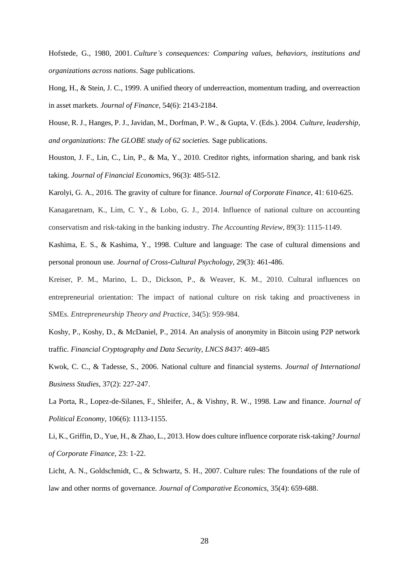Hofstede, G., 1980, 2001. *Culture's consequences: Comparing values, behaviors, institutions and organizations across nations*. Sage publications.

Hong, H., & Stein, J. C., 1999. A unified theory of underreaction, momentum trading, and overreaction in asset markets. *Journal of Finance*, 54(6): 2143-2184.

House, R. J., Hanges, P. J., Javidan, M., Dorfman, P. W., & Gupta, V. (Eds.). 2004. *Culture, leadership, and organizations: The GLOBE study of 62 societies.* Sage publications.

Houston, J. F., Lin, C., Lin, P., & Ma, Y., 2010. Creditor rights, information sharing, and bank risk taking. *Journal of Financial Economics*, 96(3): 485-512.

Karolyi, G. A., 2016. The gravity of culture for finance. *Journal of Corporate Finance*, 41: 610-625.

Kanagaretnam, K., Lim, C. Y., & Lobo, G. J., 2014. Influence of national culture on accounting conservatism and risk-taking in the banking industry. *The Accounting Review*, 89(3): 1115-1149.

Kashima, E. S., & Kashima, Y., 1998. Culture and language: The case of cultural dimensions and personal pronoun use. *Journal of Cross-Cultural Psychology*, 29(3): 461-486.

Kreiser, P. M., Marino, L. D., Dickson, P., & Weaver, K. M., 2010. Cultural influences on entrepreneurial orientation: The impact of national culture on risk taking and proactiveness in SMEs. *Entrepreneurship Theory and Practice*, 34(5): 959-984.

Koshy, P., Koshy, D., & McDaniel, P., 2014. An analysis of anonymity in Bitcoin using P2P network traffic. *Financial Cryptography and Data Security, LNCS 8437*: 469-485

Kwok, C. C., & Tadesse, S., 2006. National culture and financial systems. *Journal of International Business Studies*, 37(2): 227-247.

La Porta, R., Lopez-de-Silanes, F., Shleifer, A., & Vishny, R. W., 1998. Law and finance. *Journal of Political Economy*, 106(6): 1113-1155.

Li, K., Griffin, D., Yue, H., & Zhao, L., 2013. How does culture influence corporate risk-taking? *Journal of Corporate Finance*, 23: 1-22.

Licht, A. N., Goldschmidt, C., & Schwartz, S. H., 2007. Culture rules: The foundations of the rule of law and other norms of governance. *Journal of Comparative Economics*, 35(4): 659-688.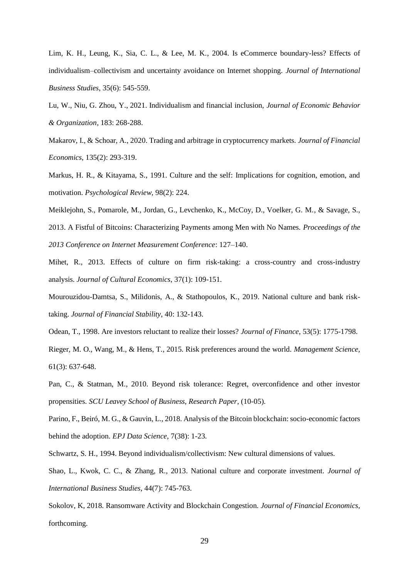Lim, K. H., Leung, K., Sia, C. L., & Lee, M. K., 2004. Is eCommerce boundary-less? Effects of individualism–collectivism and uncertainty avoidance on Internet shopping*. Journal of International Business Studies*, 35(6): 545-559.

Lu, W., Niu, G. Zhou, Y., 2021. Individualism and financial inclusion, *Journal of Economic Behavior & Organization*, 183: 268-288.

Makarov, I., & Schoar, A., 2020. Trading and arbitrage in cryptocurrency markets. *Journal of Financial Economics*, 135(2): 293-319.

Markus, H. R., & Kitayama, S., 1991. Culture and the self: Implications for cognition, emotion, and motivation. *Psychological Review*, 98(2): 224.

Meiklejohn, S., Pomarole, M., Jordan, G., Levchenko, K., McCoy, D., Voelker, G. M., & Savage, S., 2013. A Fistful of Bitcoins: Characterizing Payments among Men with No Names. *Proceedings of the 2013 Conference on Internet Measurement Conference*: 127–140.

Mihet, R., 2013. Effects of culture on firm risk-taking: a cross-country and cross-industry analysis. *Journal of Cultural Economics*, 37(1): 109-151.

Mourouzidou-Damtsa, S., Milidonis, A., & Stathopoulos, K., 2019. National culture and bank risktaking. *Journal of Financial Stability*, 40: 132-143.

Odean, T., 1998. Are investors reluctant to realize their losses? *Journal of Finance*, 53(5): 1775-1798.

Rieger, M. O., Wang, M., & Hens, T., 2015. Risk preferences around the world. *Management Science*, 61(3): 637-648.

Pan, C., & Statman, M., 2010. Beyond risk tolerance: Regret, overconfidence and other investor propensities. *SCU Leavey School of Business, Research Paper*, (10-05).

Parino, F., Beiró, M. G., & Gauvin, L., 2018. Analysis of the Bitcoin blockchain: socio-economic factors behind the adoption. *EPJ Data Science*, 7(38): 1-23.

Schwartz, S. H., 1994. Beyond individualism/collectivism: New cultural dimensions of values.

Shao, L., Kwok, C. C., & Zhang, R., 2013. National culture and corporate investment. *Journal of International Business Studies*, 44(7): 745-763.

Sokolov, K, 2018. Ransomware Activity and Blockchain Congestion. *Journal of Financial Economics*, forthcoming.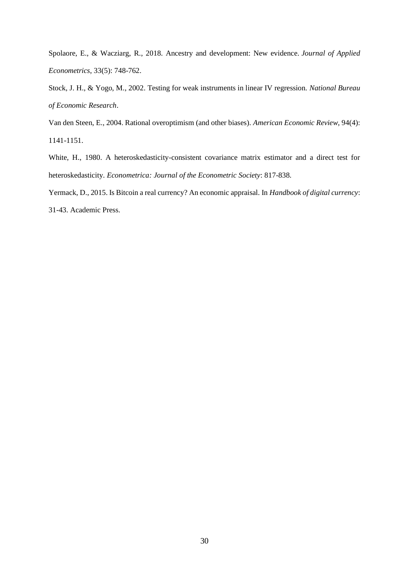Spolaore, E., & Wacziarg, R., 2018. Ancestry and development: New evidence. *Journal of Applied Econometrics*, 33(5): 748-762.

Stock, J. H., & Yogo, M., 2002. Testing for weak instruments in linear IV regression. *National Bureau of Economic Research*.

Van den Steen, E., 2004. Rational overoptimism (and other biases). *American Economic Review*, 94(4): 1141-1151.

White, H., 1980. A heteroskedasticity-consistent covariance matrix estimator and a direct test for heteroskedasticity. *Econometrica: Journal of the Econometric Society*: 817-838.

Yermack, D., 2015. Is Bitcoin a real currency? An economic appraisal. In *Handbook of digital currency*:

31-43. Academic Press.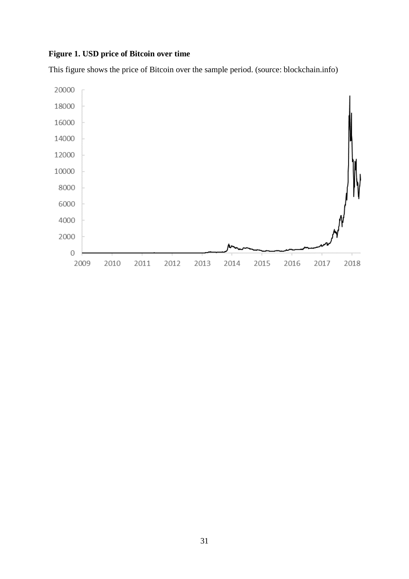# **Figure 1. USD price of Bitcoin over time**

This figure shows the price of Bitcoin over the sample period. (source: blockchain.info)

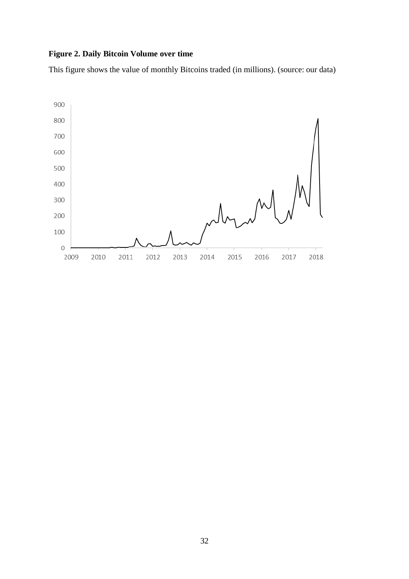# **Figure 2. Daily Bitcoin Volume over time**

This figure shows the value of monthly Bitcoins traded (in millions). (source: our data)

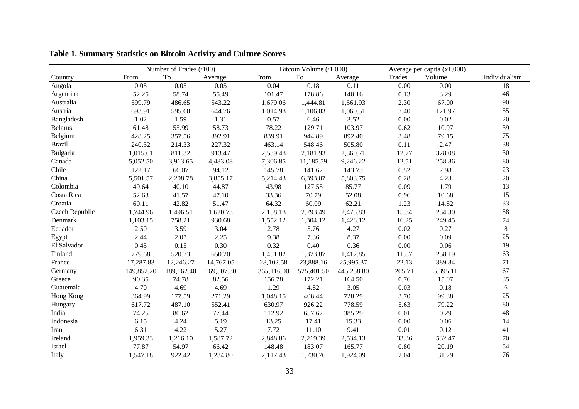|                |            | Number of Trades (/100) |            |            | Bitcoin Volume (/1,000) |            |        | Average per capita (x1,000) |               |
|----------------|------------|-------------------------|------------|------------|-------------------------|------------|--------|-----------------------------|---------------|
| Country        | From       | To                      | Average    | From       | To                      | Average    | Trades | Volume                      | Individualism |
| Angola         | 0.05       | 0.05                    | 0.05       | 0.04       | 0.18                    | 0.11       | 0.00   | 0.00                        | 18            |
| Argentina      | 52.25      | 58.74                   | 55.49      | 101.47     | 178.86                  | 140.16     | 0.13   | 3.29                        | 46            |
| Australia      | 599.79     | 486.65                  | 543.22     | 1,679.06   | 1,444.81                | 1,561.93   | 2.30   | 67.00                       | 90            |
| Austria        | 693.91     | 595.60                  | 644.76     | 1,014.98   | 1,106.03                | 1,060.51   | 7.40   | 121.97                      | 55            |
| Bangladesh     | 1.02       | 1.59                    | 1.31       | 0.57       | 6.46                    | 3.52       | 0.00   | 0.02                        | 20            |
| <b>Belarus</b> | 61.48      | 55.99                   | 58.73      | 78.22      | 129.71                  | 103.97     | 0.62   | 10.97                       | 39            |
| Belgium        | 428.25     | 357.56                  | 392.91     | 839.91     | 944.89                  | 892.40     | 3.48   | 79.15                       | 75            |
| <b>Brazil</b>  | 240.32     | 214.33                  | 227.32     | 463.14     | 548.46                  | 505.80     | 0.11   | 2.47                        | 38            |
| Bulgaria       | 1,015.61   | 811.32                  | 913.47     | 2,539.48   | 2,181.93                | 2,360.71   | 12.77  | 328.08                      | 30            |
| Canada         | 5,052.50   | 3,913.65                | 4,483.08   | 7,306.85   | 11,185.59               | 9,246.22   | 12.51  | 258.86                      | 80            |
| Chile          | 122.17     | 66.07                   | 94.12      | 145.78     | 141.67                  | 143.73     | 0.52   | 7.98                        | 23            |
| China          | 5,501.57   | 2,208.78                | 3,855.17   | 5,214.43   | 6,393.07                | 5,803.75   | 0.28   | 4.23                        | 20            |
| Colombia       | 49.64      | 40.10                   | 44.87      | 43.98      | 127.55                  | 85.77      | 0.09   | 1.79                        | 13            |
| Costa Rica     | 52.63      | 41.57                   | 47.10      | 33.36      | 70.79                   | 52.08      | 0.96   | 10.68                       | 15            |
| Croatia        | 60.11      | 42.82                   | 51.47      | 64.32      | 60.09                   | 62.21      | 1.23   | 14.82                       | 33            |
| Czech Republic | 1,744.96   | 1,496.51                | 1,620.73   | 2,158.18   | 2,793.49                | 2,475.83   | 15.34  | 234.30                      | 58            |
| Denmark        | 1,103.15   | 758.21                  | 930.68     | 1,552.12   | 1,304.12                | 1,428.12   | 16.25  | 249.45                      | 74            |
| Ecuador        | 2.50       | 3.59                    | 3.04       | 2.78       | 5.76                    | 4.27       | 0.02   | 0.27                        | $8\,$         |
| Egypt          | 2.44       | 2.07                    | 2.25       | 9.38       | 7.36                    | 8.37       | 0.00   | 0.09                        | 25            |
| El Salvador    | 0.45       | 0.15                    | 0.30       | 0.32       | 0.40                    | 0.36       | 0.00   | 0.06                        | 19            |
| Finland        | 779.68     | 520.73                  | 650.20     | 1,451.82   | 1,373.87                | 1,412.85   | 11.87  | 258.19                      | 63            |
| France         | 17,287.83  | 12,246.27               | 14,767.05  | 28,102.58  | 23,888.16               | 25,995.37  | 22.13  | 389.84                      | 71            |
| Germany        | 149,852.20 | 189,162.40              | 169,507.30 | 365,116.00 | 525,401.50              | 445,258.80 | 205.71 | 5,395.11                    | 67            |
| Greece         | 90.35      | 74.78                   | 82.56      | 156.78     | 172.21                  | 164.50     | 0.76   | 15.07                       | 35            |
| Guatemala      | 4.70       | 4.69                    | 4.69       | 1.29       | 4.82                    | 3.05       | 0.03   | 0.18                        | $\sqrt{6}$    |
| Hong Kong      | 364.99     | 177.59                  | 271.29     | 1,048.15   | 408.44                  | 728.29     | 3.70   | 99.38                       | 25            |
| Hungary        | 617.72     | 487.10                  | 552.41     | 630.97     | 926.22                  | 778.59     | 5.63   | 79.22                       | 80            |
| India          | 74.25      | 80.62                   | 77.44      | 112.92     | 657.67                  | 385.29     | 0.01   | 0.29                        | 48            |
| Indonesia      | 6.15       | 4.24                    | 5.19       | 13.25      | 17.41                   | 15.33      | 0.00   | 0.06                        | 14            |
| Iran           | 6.31       | 4.22                    | 5.27       | 7.72       | 11.10                   | 9.41       | 0.01   | 0.12                        | 41            |
| Ireland        | 1,959.33   | 1,216.10                | 1,587.72   | 2,848.86   | 2,219.39                | 2,534.13   | 33.36  | 532.47                      | 70            |
| Israel         | 77.87      | 54.97                   | 66.42      | 148.48     | 183.07                  | 165.77     | 0.80   | 20.19                       | 54            |
| Italy          | 1,547.18   | 922.42                  | 1,234.80   | 2,117.43   | 1,730.76                | 1,924.09   | 2.04   | 31.79                       | 76            |

**Table 1. Summary Statistics on Bitcoin Activity and Culture Scores**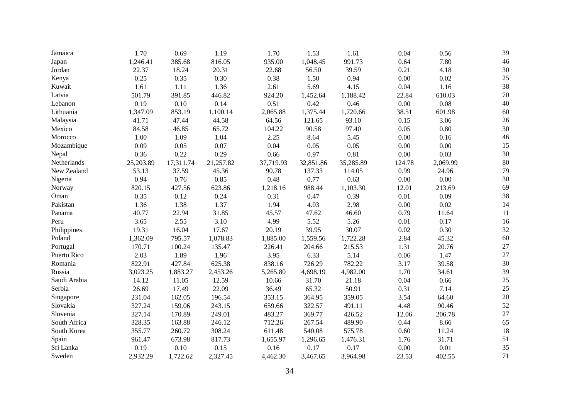| Jamaica      | 1.70      | 0.69      | 1.19      | 1.70      | 1.53      | 1.61      | 0.04     | 0.56     | 39     |
|--------------|-----------|-----------|-----------|-----------|-----------|-----------|----------|----------|--------|
| Japan        | 1,246.41  | 385.68    | 816.05    | 935.00    | 1,048.45  | 991.73    | 0.64     | 7.80     | 46     |
| Jordan       | 22.37     | 18.24     | 20.31     | 22.68     | 56.50     | 39.59     | 0.21     | 4.18     | 30     |
| Kenya        | 0.25      | 0.35      | 0.30      | 0.38      | 1.50      | 0.94      | 0.00     | 0.02     | $25\,$ |
| Kuwait       | 1.61      | 1.11      | 1.36      | 2.61      | 5.69      | 4.15      | 0.04     | 1.16     | 38     |
| Latvia       | 501.79    | 391.85    | 446.82    | 924.20    | 1,452.64  | 1,188.42  | 22.84    | 610.03   | 70     |
| Lebanon      | 0.19      | 0.10      | 0.14      | 0.51      | 0.42      | 0.46      | 0.00     | 0.08     | 40     |
| Lithuania    | 1,347.09  | 853.19    | 1,100.14  | 2,065.88  | 1,375.44  | 1,720.66  | 38.51    | 601.98   | 60     |
| Malaysia     | 41.71     | 47.44     | 44.58     | 64.56     | 121.65    | 93.10     | 0.15     | 3.06     | 26     |
| Mexico       | 84.58     | 46.85     | 65.72     | 104.22    | 90.58     | 97.40     | 0.05     | 0.80     | 30     |
| Morocco      | 1.00      | 1.09      | 1.04      | 2.25      | 8.64      | 5.45      | 0.00     | 0.16     | 46     |
| Mozambique   | 0.09      | 0.05      | 0.07      | 0.04      | 0.05      | 0.05      | 0.00     | 0.00     | 15     |
| Nepal        | 0.36      | 0.22      | 0.29      | 0.66      | 0.97      | 0.81      | 0.00     | 0.03     | 30     |
| Netherlands  | 25,203.89 | 17,311.74 | 21,257.82 | 37,719.93 | 32,851.86 | 35,285.89 | 124.78   | 2,069.99 | 80     |
| New Zealand  | 53.13     | 37.59     | 45.36     | 90.78     | 137.33    | 114.05    | 0.99     | 24.96    | 79     |
| Nigeria      | 0.94      | 0.76      | 0.85      | 0.48      | 0.77      | 0.63      | 0.00     | 0.00     | 30     |
| Norway       | 820.15    | 427.56    | 623.86    | 1,218.16  | 988.44    | 1,103.30  | 12.01    | 213.69   | 69     |
| Oman         | 0.35      | 0.12      | 0.24      | 0.31      | 0.47      | 0.39      | 0.01     | 0.09     | 38     |
| Pakistan     | 1.36      | 1.38      | 1.37      | 1.94      | 4.03      | 2.98      | 0.00     | 0.02     | 14     |
| Panama       | 40.77     | 22.94     | 31.85     | 45.57     | 47.62     | 46.60     | 0.79     | 11.64    | 11     |
| Peru         | 3.65      | 2.55      | 3.10      | 4.99      | 5.52      | 5.26      | 0.01     | 0.17     | 16     |
| Philippines  | 19.31     | 16.04     | 17.67     | 20.19     | 39.95     | 30.07     | 0.02     | 0.30     | 32     |
| Poland       | 1,362.09  | 795.57    | 1,078.83  | 1,885.00  | 1,559.56  | 1,722.28  | 2.84     | 45.32    | 60     |
| Portugal     | 170.71    | 100.24    | 135.47    | 226.41    | 204.66    | 215.53    | 1.31     | 20.76    | 27     |
| Puerto Rico  | 2.03      | 1.89      | 1.96      | 3.95      | 6.33      | 5.14      | 0.06     | 1.47     | 27     |
| Romania      | 822.91    | 427.84    | 625.38    | 838.16    | 726.29    | 782.22    | 3.17     | 39.58    | 30     |
| Russia       | 3,023.25  | 1,883.27  | 2,453.26  | 5,265.80  | 4,698.19  | 4,982.00  | 1.70     | 34.61    | 39     |
| Saudi Arabia | 14.12     | 11.05     | 12.59     | 10.66     | 31.70     | 21.18     | 0.04     | 0.66     | 25     |
| Serbia       | 26.69     | 17.49     | 22.09     | 36.49     | 65.32     | 50.91     | 0.31     | 7.14     | 25     |
| Singapore    | 231.04    | 162.05    | 196.54    | 353.15    | 364.95    | 359.05    | 3.54     | 64.60    | 20     |
| Slovakia     | 327.24    | 159.06    | 243.15    | 659.66    | 322.57    | 491.11    | 4.48     | 90.46    | 52     |
| Slovenia     | 327.14    | 170.89    | 249.01    | 483.27    | 369.77    | 426.52    | 12.06    | 206.78   | 27     |
| South Africa | 328.35    | 163.88    | 246.12    | 712.26    | 267.54    | 489.90    | 0.44     | 8.66     | 65     |
| South Korea  | 355.77    | 260.72    | 308.24    | 611.48    | 540.08    | 575.78    | 0.60     | 11.24    | 18     |
| Spain        | 961.47    | 673.98    | 817.73    | 1,655.97  | 1,296.65  | 1,476.31  | 1.76     | 31.71    | 51     |
| Sri Lanka    | 0.19      | 0.10      | 0.15      | 0.16      | 0.17      | 0.17      | $0.00\,$ | 0.01     | 35     |
| Sweden       | 2,932.29  | 1,722.62  | 2,327.45  | 4,462.30  | 3,467.65  | 3,964.98  | 23.53    | 402.55   | 71     |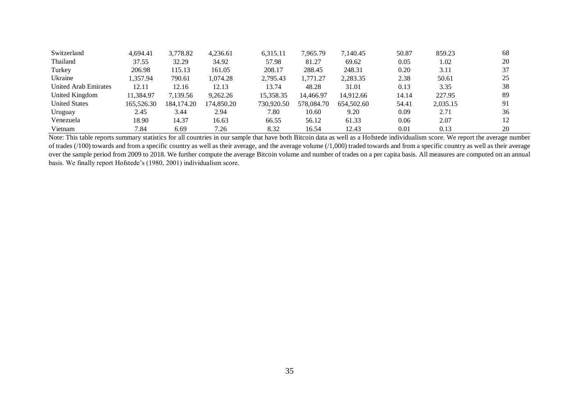| Switzerland                 | 4.694.41   | 3.778.82     | 4.236.61   | 6.315.11   | 7.965.79   | 7.140.45   | 50.87 | 859.23   | 68 |
|-----------------------------|------------|--------------|------------|------------|------------|------------|-------|----------|----|
| Thailand                    | 37.55      | 32.29        | 34.92      | 57.98      | 81.27      | 69.62      | 0.05  | 1.02     | 20 |
| Turkey                      | 206.98     | 115.13       | 161.05     | 208.17     | 288.45     | 248.31     | 0.20  | 3.11     | 37 |
| Ukraine                     | 1.357.94   | 790.61       | 1.074.28   | 2,795.43   | 1,771.27   | 2,283.35   | 2.38  | 50.61    | 25 |
| <b>United Arab Emirates</b> | 12.11      | 12.16        | 12.13      | 13.74      | 48.28      | 31.01      | 0.13  | 3.35     | 38 |
| United Kingdom              | 11.384.97  | 7,139.56     | 9,262.26   | 15.358.35  | 14.466.97  | 14.912.66  | 14.14 | 227.95   | 89 |
| <b>United States</b>        | 165,526.30 | 184, 174, 20 | 174.850.20 | 730,920.50 | 578,084.70 | 654,502.60 | 54.41 | 2.035.15 | 91 |
| Uruguay                     | 2.45       | 3.44         | 2.94       | 7.80       | 10.60      | 9.20       | 0.09  | 2.71     | 36 |
| Venezuela                   | 18.90      | 14.37        | 16.63      | 66.55      | 56.12      | 61.33      | 0.06  | 2.07     | 12 |
| Vietnam                     | 7.84       | 6.69         | 7.26       | 8.32       | 16.54      | 12.43      | 0.01  | 0.13     | 20 |

Note: This table reports summary statistics for all countries in our sample that have both Bitcoin data as well as a Hofstede individualism score. We report the average number of trades (/100) towards and from a specific country as well as their average, and the average volume (/1,000) traded towards and from a specific country as well as their average over the sample period from 2009 to 2018. We further compute the average Bitcoin volume and number of trades on a per capita basis. All measures are computed on an annual basis. We finally report Hofstede's (1980, 2001) individualism score.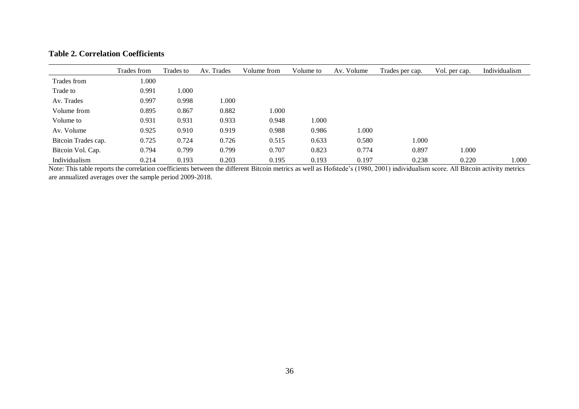# **Table 2. Correlation Coefficients**

|                     | Trades from | Trades to | Av. Trades | Volume from | Volume to | Av. Volume | Trades per cap. | Vol. per cap. | Individualism |
|---------------------|-------------|-----------|------------|-------------|-----------|------------|-----------------|---------------|---------------|
| Trades from         | 1.000       |           |            |             |           |            |                 |               |               |
| Trade to            | 0.991       | .000.     |            |             |           |            |                 |               |               |
| Av. Trades          | 0.997       | 0.998     | 1.000      |             |           |            |                 |               |               |
| Volume from         | 0.895       | 0.867     | 0.882      | 000.1       |           |            |                 |               |               |
| Volume to           | 0.931       | 0.931     | 0.933      | 0.948       | .000      |            |                 |               |               |
| Av. Volume          | 0.925       | 0.910     | 0.919      | 0.988       | 0.986     | 1.000      |                 |               |               |
| Bitcoin Trades cap. | 0.725       | 0.724     | 0.726      | 0.515       | 0.633     | 0.580      | 1.000           |               |               |
| Bitcoin Vol. Cap.   | 0.794       | 0.799     | 0.799      | 0.707       | 0.823     | 0.774      | 0.897           | 1.000         |               |
| Individualism       | 0.214       | 0.193     | 0.203      | 0.195       | 0.193     | 0.197      | 0.238           | 0.220         | 1.000         |

Note: This table reports the correlation coefficients between the different Bitcoin metrics as well as Hofstede's (1980, 2001) individualism score. All Bitcoin activity metrics are annualized averages over the sample period 2009-2018.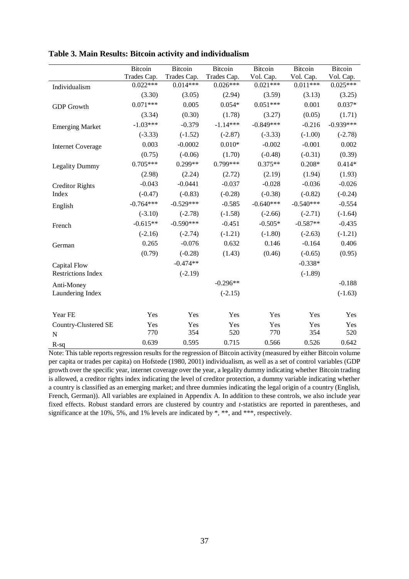|                           | <b>Bitcoin</b> | Bitcoin     | Bitcoin     | <b>Bitcoin</b> | <b>Bitcoin</b> | <b>Bitcoin</b> |
|---------------------------|----------------|-------------|-------------|----------------|----------------|----------------|
|                           | Trades Cap.    | Trades Cap. | Trades Cap. | Vol. Cap.      | Vol. Cap.      | Vol. Cap.      |
| Individualism             | $0.022***$     | $0.014***$  | $0.026***$  | $0.021***$     | $0.011***$     | $0.025***$     |
|                           | (3.30)         | (3.05)      | (2.94)      | (3.59)         | (3.13)         | (3.25)         |
| <b>GDP</b> Growth         | $0.071***$     | 0.005       | $0.054*$    | $0.051***$     | 0.001          | $0.037*$       |
|                           | (3.34)         | (0.30)      | (1.78)      | (3.27)         | (0.05)         | (1.71)         |
| <b>Emerging Market</b>    | $-1.03***$     | $-0.379$    | $-1.14***$  | $-0.849***$    | $-0.216$       | $-0.939***$    |
|                           | $(-3.33)$      | $(-1.52)$   | $(-2.87)$   | $(-3.33)$      | $(-1.00)$      | $(-2.78)$      |
| <b>Internet Coverage</b>  | 0.003          | $-0.0002$   | $0.010*$    | $-0.002$       | $-0.001$       | 0.002          |
|                           | (0.75)         | $(-0.06)$   | (1.70)      | $(-0.48)$      | $(-0.31)$      | (0.39)         |
| <b>Legality Dummy</b>     | $0.705***$     | $0.299**$   | $0.799***$  | $0.375**$      | $0.208*$       | $0.414*$       |
|                           | (2.98)         | (2.24)      | (2.72)      | (2.19)         | (1.94)         | (1.93)         |
| <b>Creditor Rights</b>    | $-0.043$       | $-0.0441$   | $-0.037$    | $-0.028$       | $-0.036$       | $-0.026$       |
| Index                     | $(-0.47)$      | $(-0.83)$   | $(-0.28)$   | $(-0.38)$      | $(-0.82)$      | $(-0.24)$      |
| English                   | $-0.764***$    | $-0.529***$ | $-0.585$    | $-0.640***$    | $-0.540***$    | $-0.554$       |
|                           | $(-3.10)$      | $(-2.78)$   | $(-1.58)$   | $(-2.66)$      | $(-2.71)$      | $(-1.64)$      |
| French                    | $-0.615**$     | $-0.590***$ | $-0.451$    | $-0.505*$      | $-0.587**$     | $-0.435$       |
|                           | $(-2.16)$      | $(-2.74)$   | $(-1.21)$   | $(-1.80)$      | $(-2.63)$      | $(-1.21)$      |
| German                    | 0.265          | $-0.076$    | 0.632       | 0.146          | $-0.164$       | 0.406          |
|                           | (0.79)         | $(-0.28)$   | (1.43)      | (0.46)         | $(-0.65)$      | (0.95)         |
| Capital Flow              |                | $-0.474**$  |             |                | $-0.338*$      |                |
| <b>Restrictions Index</b> |                | $(-2.19)$   |             |                | $(-1.89)$      |                |
| Anti-Money                |                |             | $-0.296**$  |                |                | $-0.188$       |
| Laundering Index          |                |             | $(-2.15)$   |                |                | $(-1.63)$      |
|                           |                |             |             |                |                |                |
| Year FE                   | Yes            | Yes         | Yes         | Yes            | Yes            | Yes            |
| Country-Clustered SE      | Yes            | Yes         | Yes         | Yes            | Yes            | Yes            |
| N                         | 770            | 354         | 520         | 770            | 354            | 520            |
| $R-sq$                    | 0.639          | 0.595       | 0.715       | 0.566          | 0.526          | 0.642          |

**Table 3. Main Results: Bitcoin activity and individualism**

Note: This table reports regression results for the regression of Bitcoin activity (measured by either Bitcoin volume per capita or trades per capita) on Hofstede (1980, 2001) individualism, as well as a set of control variables (GDP growth over the specific year, internet coverage over the year, a legality dummy indicating whether Bitcoin trading is allowed, a creditor rights index indicating the level of creditor protection, a dummy variable indicating whether a country is classified as an emerging market; and three dummies indicating the legal origin of a country (English, French, German)). All variables are explained in Appendix A. In addition to these controls, we also include year fixed effects. Robust standard errors are clustered by country and *t*-statistics are reported in parentheses, and significance at the 10%, 5%, and 1% levels are indicated by \*, \*\*, and \*\*\*, respectively.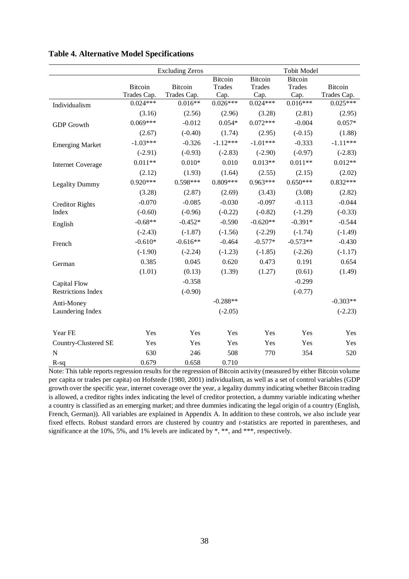|                           |                | <b>Excluding Zeros</b> |               |                | <b>Tobit Model</b> |                |
|---------------------------|----------------|------------------------|---------------|----------------|--------------------|----------------|
|                           |                |                        | Bitcoin       | <b>Bitcoin</b> | <b>Bitcoin</b>     |                |
|                           | <b>Bitcoin</b> | <b>Bitcoin</b>         | <b>Trades</b> | <b>Trades</b>  | <b>Trades</b>      | <b>Bitcoin</b> |
|                           | Trades Cap.    | Trades Cap.            | Cap.          | Cap.           | Cap.               | Trades Cap.    |
| Individualism             | $0.024***$     | $0.016**$              | $0.026***$    | $0.024***$     | $0.016***$         | $0.025***$     |
|                           | (3.16)         | (2.56)                 | (2.96)        | (3.28)         | (2.81)             | (2.95)         |
| <b>GDP</b> Growth         | $0.069***$     | $-0.012$               | $0.054*$      | $0.072***$     | $-0.004$           | $0.057*$       |
|                           | (2.67)         | $(-0.40)$              | (1.74)        | (2.95)         | $(-0.15)$          | (1.88)         |
| <b>Emerging Market</b>    | $-1.03***$     | $-0.326$               | $-1.12***$    | $-1.01***$     | $-0.333$           | $-1.11***$     |
|                           | $(-2.91)$      | $(-0.93)$              | $(-2.83)$     | $(-2.90)$      | $(-0.97)$          | $(-2.83)$      |
| <b>Internet Coverage</b>  | $0.011**$      | $0.010*$               | 0.010         | $0.013**$      | $0.011**$          | $0.012**$      |
|                           | (2.12)         | (1.93)                 | (1.64)        | (2.55)         | (2.15)             | (2.02)         |
| <b>Legality Dummy</b>     | $0.920***$     | $0.598***$             | $0.809***$    | $0.963***$     | $0.650***$         | $0.832***$     |
|                           | (3.28)         | (2.87)                 | (2.69)        | (3.43)         | (3.08)             | (2.82)         |
| <b>Creditor Rights</b>    | $-0.070$       | $-0.085$               | $-0.030$      | $-0.097$       | $-0.113$           | $-0.044$       |
| Index                     | $(-0.60)$      | $(-0.96)$              | $(-0.22)$     | $(-0.82)$      | $(-1.29)$          | $(-0.33)$      |
| English                   | $-0.68**$      | $-0.452*$              | $-0.590$      | $-0.620**$     | $-0.391*$          | $-0.544$       |
|                           | $(-2.43)$      | $(-1.87)$              | $(-1.56)$     | $(-2.29)$      | $(-1.74)$          | $(-1.49)$      |
| French                    | $-0.610*$      | $-0.616**$             | $-0.464$      | $-0.577*$      | $-0.573**$         | $-0.430$       |
|                           | $(-1.90)$      | $(-2.24)$              | $(-1.23)$     | $(-1.85)$      | $(-2.26)$          | $(-1.17)$      |
| German                    | 0.385          | 0.045                  | 0.620         | 0.473          | 0.191              | 0.654          |
|                           | (1.01)         | (0.13)                 | (1.39)        | (1.27)         | (0.61)             | (1.49)         |
| Capital Flow              |                | $-0.358$               |               |                | $-0.299$           |                |
| <b>Restrictions Index</b> |                | $(-0.90)$              |               |                | $(-0.77)$          |                |
| Anti-Money                |                |                        | $-0.288**$    |                |                    | $-0.303**$     |
| Laundering Index          |                |                        | $(-2.05)$     |                |                    | $(-2.23)$      |
|                           |                |                        |               |                |                    |                |
| Year FE                   | Yes            | Yes                    | Yes           | Yes            | Yes                | Yes            |
| Country-Clustered SE      | Yes            | Yes                    | Yes           | Yes            | Yes                | Yes            |
| $\mathbf N$               | 630            | 246                    | 508           | 770            | 354                | 520            |
| $R-sq$                    | 0.679          | 0.658                  | 0.710         |                |                    |                |

**Table 4. Alternative Model Specifications**

Note: This table reports regression results for the regression of Bitcoin activity (measured by either Bitcoin volume per capita or trades per capita) on Hofstede (1980, 2001) individualism, as well as a set of control variables (GDP growth over the specific year, internet coverage over the year, a legality dummy indicating whether Bitcoin trading is allowed, a creditor rights index indicating the level of creditor protection, a dummy variable indicating whether a country is classified as an emerging market; and three dummies indicating the legal origin of a country (English, French, German)). All variables are explained in Appendix A. In addition to these controls, we also include year fixed effects. Robust standard errors are clustered by country and *t*-statistics are reported in parentheses, and significance at the 10%, 5%, and 1% levels are indicated by \*, \*\*, and \*\*\*, respectively.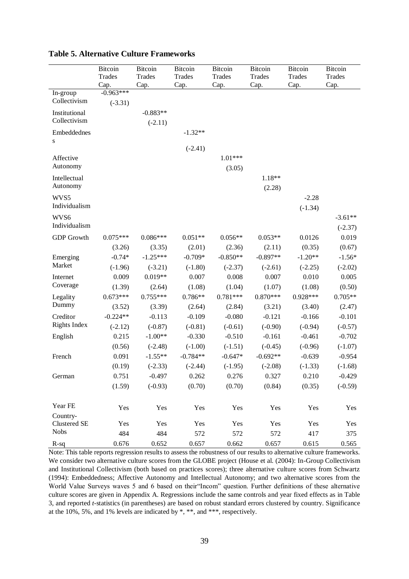|                          | <b>Bitcoin</b>      | <b>Bitcoin</b> | <b>Bitcoin</b> | <b>Bitcoin</b> | Bitcoin       | Bitcoin       | <b>Bitcoin</b> |
|--------------------------|---------------------|----------------|----------------|----------------|---------------|---------------|----------------|
|                          | Trades              | <b>Trades</b>  | <b>Trades</b>  | Trades         | <b>Trades</b> | <b>Trades</b> | <b>Trades</b>  |
| In-group                 | Cap.<br>$-0.963***$ | Cap.           | Cap.           | Cap.           | Cap.          | Cap.          | Cap.           |
| Collectivism             | $(-3.31)$           |                |                |                |               |               |                |
| Institutional            |                     | $-0.883**$     |                |                |               |               |                |
| Collectivism             |                     | $(-2.11)$      |                |                |               |               |                |
| Embeddednes<br>S         |                     |                | $-1.32**$      |                |               |               |                |
|                          |                     |                | $(-2.41)$      |                |               |               |                |
| Affective                |                     |                |                | $1.01***$      |               |               |                |
| Autonomy                 |                     |                |                | (3.05)         |               |               |                |
| Intellectual             |                     |                |                |                | 1.18**        |               |                |
| Autonomy                 |                     |                |                |                | (2.28)        |               |                |
| WVS5<br>Individualism    |                     |                |                |                |               | $-2.28$       |                |
|                          |                     |                |                |                |               | $(-1.34)$     |                |
| WVS6                     |                     |                |                |                |               |               | $-3.61**$      |
| Individualism            |                     |                |                |                |               |               | $(-2.37)$      |
| <b>GDP</b> Growth        | $0.075***$          | $0.086***$     | $0.051**$      | $0.056**$      | $0.053**$     | 0.0126        | 0.019          |
|                          | (3.26)              | (3.35)         | (2.01)         | (2.36)         | (2.11)        | (0.35)        | (0.67)         |
| Emerging                 | $-0.74*$            | $-1.25***$     | $-0.709*$      | $-0.850**$     | $-0.897**$    | $-1.20**$     | $-1.56*$       |
| Market                   | $(-1.96)$           | $(-3.21)$      | $(-1.80)$      | $(-2.37)$      | $(-2.61)$     | $(-2.25)$     | $(-2.02)$      |
| Internet                 | 0.009               | $0.019**$      | 0.007          | 0.008          | 0.007         | 0.010         | 0.005          |
| Coverage                 | (1.39)              | (2.64)         | (1.08)         | (1.04)         | (1.07)        | (1.08)        | (0.50)         |
| Legality                 | $0.673***$          | $0.755***$     | $0.786**$      | $0.781***$     | $0.870***$    | $0.928***$    | $0.705**$      |
| Dummy                    | (3.52)              | (3.39)         | (2.64)         | (2.84)         | (3.21)        | (3.40)        | (2.47)         |
| Creditor                 | $-0.224**$          | $-0.113$       | $-0.109$       | $-0.080$       | $-0.121$      | $-0.166$      | $-0.101$       |
| <b>Rights Index</b>      | $(-2.12)$           | $(-0.87)$      | $(-0.81)$      | $(-0.61)$      | $(-0.90)$     | $(-0.94)$     | $(-0.57)$      |
| English                  | 0.215               | $-1.00**$      | $-0.330$       | $-0.510$       | $-0.161$      | $-0.461$      | $-0.702$       |
|                          | (0.56)              | $(-2.48)$      | $(-1.00)$      | $(-1.51)$      | $(-0.45)$     | $(-0.96)$     | $(-1.07)$      |
| French                   | 0.091               | $-1.55**$      | $-0.784**$     | $-0.647*$      | $-0.692**$    | $-0.639$      | $-0.954$       |
|                          | (0.19)              | $(-2.33)$      | $(-2.44)$      | $(-1.95)$      | $(-2.08)$     | $(-1.33)$     | $(-1.68)$      |
| German                   | 0.751               | $-0.497$       | 0.262          | 0.276          | 0.327         | 0.210         | $-0.429$       |
|                          | (1.59)              | $(-0.93)$      | (0.70)         | (0.70)         | (0.84)        | (0.35)        | $(-0.59)$      |
|                          |                     |                |                |                |               |               |                |
| Year FE                  | Yes                 | Yes            | Yes            | Yes            | Yes           | Yes           | Yes            |
| Country-<br>Clustered SE | Yes                 | Yes            | Yes            | Yes            | Yes           | Yes           | Yes            |
| <b>Nobs</b>              | 484                 | 484            | 572            | 572            | 572           | 417           | 375            |
| $R-sq$                   | 0.676               | 0.652          | 0.657          | 0.662          | 0.657         | 0.615         | 0.565          |

**Table 5. Alternative Culture Frameworks**

Note: This table reports regression results to assess the robustness of our results to alternative culture frameworks. We consider two alternative culture scores from the GLOBE project (House et al. (2004): In-Group Collectivism and Institutional Collectivism (both based on practices scores); three alternative culture scores from Schwartz (1994): Embeddedness; Affective Autonomy and Intellectual Autonomy; and two alternative scores from the World Value Surveys waves 5 and 6 based on their"Incom" question. Further definitions of these alternative culture scores are given in Appendix A. Regressions include the same controls and year fixed effects as in Table 3, and reported *t*-statistics (in parentheses) are based on robust standard errors clustered by country. Significance at the 10%, 5%, and 1% levels are indicated by \*, \*\*, and \*\*\*, respectively.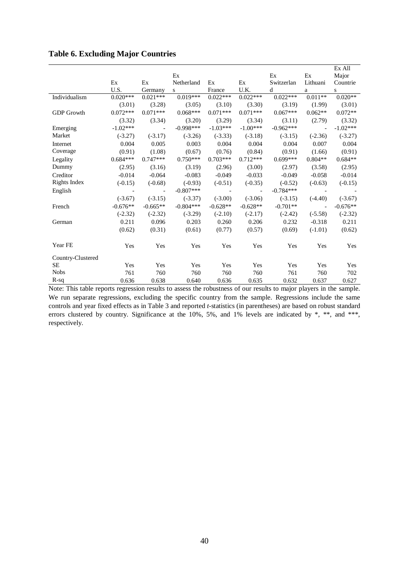|  |  | <b>Table 6. Excluding Major Countries</b> |  |  |
|--|--|-------------------------------------------|--|--|
|--|--|-------------------------------------------|--|--|

|                   |                          |                          |             |                |                |             |                          | Ex All     |
|-------------------|--------------------------|--------------------------|-------------|----------------|----------------|-------------|--------------------------|------------|
|                   |                          |                          | Ex          |                |                | Ex          | Ex                       | Major      |
|                   | Ex                       | Ex                       | Netherland  | Ex             | Ex             | Switzerlan  | Lithuani                 | Countrie   |
|                   | U.S.                     | Germany                  | S           | France         | U.K.           | d           | a                        | S          |
| Individualism     | $0.020***$               | $0.021***$               | $0.019***$  | $0.022***$     | $0.022***$     | $0.022***$  | $0.011**$                | $0.020**$  |
|                   | (3.01)                   | (3.28)                   | (3.05)      | (3.10)         | (3.30)         | (3.19)      | (1.99)                   | (3.01)     |
| <b>GDP</b> Growth | $0.072***$               | $0.071***$               | $0.068***$  | $0.071***$     | $0.071***$     | $0.067***$  | $0.062**$                | $0.072**$  |
|                   | (3.32)                   | (3.34)                   | (3.20)      | (3.29)         | (3.34)         | (3.11)      | (2.79)                   | (3.32)     |
| Emerging          | $-1.02***$               | $\overline{\phantom{a}}$ | $-0.998***$ | $-1.03***$     | $-1.00***$     | $-0.962***$ | $\overline{\phantom{a}}$ | $-1.02***$ |
| Market            | $(-3.27)$                | $(-3.17)$                | $(-3.26)$   | $(-3.33)$      | $(-3.18)$      | $(-3.15)$   | $(-2.36)$                | $(-3.27)$  |
| Internet          | 0.004                    | 0.005                    | 0.003       | 0.004          | 0.004          | 0.004       | 0.007                    | 0.004      |
| Coverage          | (0.91)                   | (1.08)                   | (0.67)      | (0.76)         | (0.84)         | (0.91)      | (1.66)                   | (0.91)     |
| Legality          | $0.684***$               | $0.747***$               | $0.750***$  | $0.703***$     | $0.712***$     | $0.699***$  | $0.804**$                | $0.684**$  |
| Dummy             | (2.95)                   | (3.16)                   | (3.19)      | (2.96)         | (3.00)         | (2.97)      | (3.58)                   | (2.95)     |
| Creditor          | $-0.014$                 | $-0.064$                 | $-0.083$    | $-0.049$       | $-0.033$       | $-0.049$    | $-0.058$                 | $-0.014$   |
| Rights Index      | $(-0.15)$                | $(-0.68)$                | $(-0.93)$   | $(-0.51)$      | $(-0.35)$      | $(-0.52)$   | $(-0.63)$                | $(-0.15)$  |
| English           | $\overline{\phantom{a}}$ | $\blacksquare$           | $-0.807***$ | $\blacksquare$ | $\blacksquare$ | $-0.784***$ |                          |            |
|                   | $(-3.67)$                | $(-3.15)$                | $(-3.37)$   | $(-3.00)$      | $(-3.06)$      | $(-3.15)$   | $(-4.40)$                | $(-3.67)$  |
| French            | $-0.676**$               | $-0.665**$               | $-0.804***$ | $-0.628**$     | $-0.628**$     | $-0.701**$  | $\blacksquare$           | $-0.676**$ |
|                   | $(-2.32)$                | $(-2.32)$                | $(-3.29)$   | $(-2.10)$      | $(-2.17)$      | $(-2.42)$   | $(-5.58)$                | $(-2.32)$  |
| German            | 0.211                    | 0.096                    | 0.203       | 0.260          | 0.206          | 0.232       | $-0.318$                 | 0.211      |
|                   | (0.62)                   | (0.31)                   | (0.61)      | (0.77)         | (0.57)         | (0.69)      | $(-1.01)$                | (0.62)     |
| Year FE           | Yes                      | Yes                      | Yes         | Yes            | Yes            | Yes         | Yes                      | Yes        |
|                   |                          |                          |             |                |                |             |                          |            |
| Country-Clustered |                          |                          |             |                |                |             |                          |            |
| <b>SE</b>         | Yes                      | Yes                      | Yes         | Yes            | Yes            | Yes         | Yes                      | Yes        |
| <b>Nobs</b>       | 761                      | 760                      | 760         | 760            | 760            | 761         | 760                      | 702        |
| $R-sq$            | 0.636                    | 0.638                    | 0.640       | 0.636          | 0.635          | 0.632       | 0.637                    | 0.627      |

Note: This table reports regression results to assess the robustness of our results to major players in the sample. We run separate regressions, excluding the specific country from the sample. Regressions include the same controls and year fixed effects as in Table 3 and reported *t*-statistics (in parentheses) are based on robust standard errors clustered by country. Significance at the 10%, 5%, and 1% levels are indicated by \*, \*\*, and \*\*\*, respectively.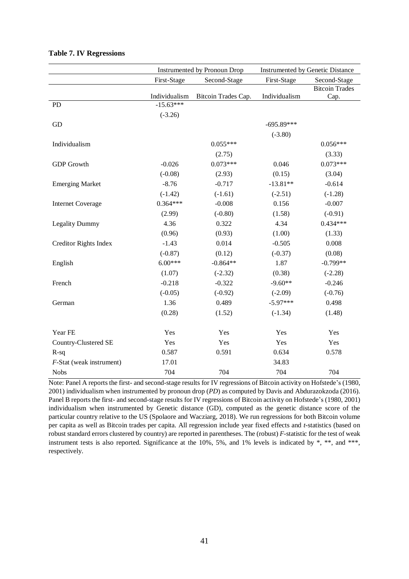|                              |                              | Instrumented by Pronoun Drop | Instrumented by Genetic Distance |                       |  |
|------------------------------|------------------------------|------------------------------|----------------------------------|-----------------------|--|
|                              | First-Stage                  | Second-Stage                 | First-Stage                      | Second-Stage          |  |
|                              |                              |                              |                                  | <b>Bitcoin Trades</b> |  |
| <b>PD</b>                    | Individualism<br>$-15.63***$ | Bitcoin Trades Cap.          | Individualism                    | Cap.                  |  |
|                              | $(-3.26)$                    |                              |                                  |                       |  |
| GD                           |                              |                              | $-695.89***$                     |                       |  |
|                              |                              |                              | $(-3.80)$                        |                       |  |
| Individualism                |                              | $0.055***$                   |                                  | $0.056***$            |  |
|                              |                              |                              |                                  |                       |  |
|                              |                              | (2.75)<br>$0.073***$         |                                  | (3.33)<br>$0.073***$  |  |
| <b>GDP</b> Growth            | $-0.026$                     |                              | 0.046                            |                       |  |
|                              | $(-0.08)$                    | (2.93)                       | (0.15)                           | (3.04)                |  |
| <b>Emerging Market</b>       | $-8.76$                      | $-0.717$                     | $-13.81**$                       | $-0.614$              |  |
|                              | $(-1.42)$                    | $(-1.61)$                    | $(-2.51)$                        | $(-1.28)$             |  |
| <b>Internet Coverage</b>     | $0.364***$                   | $-0.008$                     | 0.156                            | $-0.007$              |  |
|                              | (2.99)                       | $(-0.80)$                    | (1.58)                           | $(-0.91)$             |  |
| <b>Legality Dummy</b>        | 4.36                         | 0.322                        | 4.34                             | $0.434***$            |  |
|                              | (0.96)                       | (0.93)                       | (1.00)                           | (1.33)                |  |
| <b>Creditor Rights Index</b> | $-1.43$                      | 0.014                        | $-0.505$                         | 0.008                 |  |
|                              | $(-0.87)$                    | (0.12)                       | $(-0.37)$                        | (0.08)                |  |
| English                      | $6.00***$                    | $-0.864**$                   | 1.87                             | $-0.799**$            |  |
|                              | (1.07)                       | $(-2.32)$                    | (0.38)                           | $(-2.28)$             |  |
| French                       | $-0.218$                     | $-0.322$                     | $-9.60**$                        | $-0.246$              |  |
|                              | $(-0.05)$                    | $(-0.92)$                    | $(-2.09)$                        | $(-0.76)$             |  |
| German                       | 1.36                         | 0.489                        | $-5.97***$                       | 0.498                 |  |
|                              | (0.28)                       | (1.52)                       | $(-1.34)$                        | (1.48)                |  |
|                              |                              |                              |                                  |                       |  |
| Year FE                      | Yes                          | Yes                          | Yes                              | Yes                   |  |
| Country-Clustered SE         | Yes                          | Yes                          | Yes                              | Yes                   |  |
| $R-sq$                       | 0.587                        | 0.591                        | 0.634                            | 0.578                 |  |
| F-Stat (weak instrument)     | 17.01                        |                              | 34.83                            |                       |  |
| <b>Nobs</b>                  | 704                          | 704                          | 704                              | 704                   |  |

# **Table 7. IV Regressions**

Note: Panel A reports the first- and second-stage results for IV regressions of Bitcoin activity on Hofstede's (1980, 2001) individualism when instrumented by pronoun drop (*PD*) as computed by Davis and Abdurazokzoda (2016). Panel B reports the first- and second-stage results for IV regressions of Bitcoin activity on Hofstede's (1980, 2001) individualism when instrumented by Genetic distance (GD), computed as the genetic distance score of the particular country relative to the US (Spolaore and Wacziarg, 2018). We run regressions for both Bitcoin volume per capita as well as Bitcoin trades per capita. All regression include year fixed effects and *t*-statistics (based on robust standard errors clustered by country) are reported in parentheses. The (robust) *F*-statistic for the test of weak instrument tests is also reported. Significance at the 10%, 5%, and 1% levels is indicated by \*, \*\*, and \*\*\*, respectively.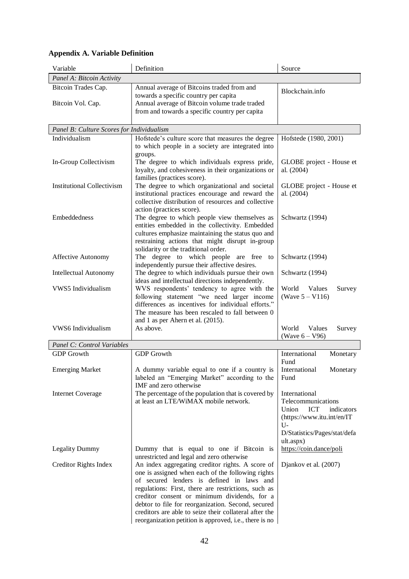| Variable                                  | Definition                                                                                                                                                                                                                                                                                                                                                                | Source                                                                                                |
|-------------------------------------------|---------------------------------------------------------------------------------------------------------------------------------------------------------------------------------------------------------------------------------------------------------------------------------------------------------------------------------------------------------------------------|-------------------------------------------------------------------------------------------------------|
| Panel A: Bitcoin Activity                 |                                                                                                                                                                                                                                                                                                                                                                           |                                                                                                       |
| Bitcoin Trades Cap.                       | Annual average of Bitcoins traded from and<br>towards a specific country per capita                                                                                                                                                                                                                                                                                       | Blockchain.info                                                                                       |
| Bitcoin Vol. Cap.                         | Annual average of Bitcoin volume trade traded<br>from and towards a specific country per capita                                                                                                                                                                                                                                                                           |                                                                                                       |
| Panel B: Culture Scores for Individualism |                                                                                                                                                                                                                                                                                                                                                                           |                                                                                                       |
| Individualism                             | Hofstede's culture score that measures the degree                                                                                                                                                                                                                                                                                                                         | Hofstede (1980, 2001)                                                                                 |
|                                           | to which people in a society are integrated into<br>groups.                                                                                                                                                                                                                                                                                                               |                                                                                                       |
| In-Group Collectivism                     | The degree to which individuals express pride,<br>loyalty, and cohesiveness in their organizations or<br>families (practices score).                                                                                                                                                                                                                                      | GLOBE project - House et<br>al. (2004)                                                                |
| <b>Institutional Collectivism</b>         | The degree to which organizational and societal<br>institutional practices encourage and reward the                                                                                                                                                                                                                                                                       | GLOBE project - House et<br>al. (2004)                                                                |
| Embeddedness                              | collective distribution of resources and collective<br>action (practices score).<br>The degree to which people view themselves as                                                                                                                                                                                                                                         | Schwartz (1994)                                                                                       |
|                                           | entities embedded in the collectivity. Embedded<br>cultures emphasize maintaining the status quo and<br>restraining actions that might disrupt in-group<br>solidarity or the traditional order.                                                                                                                                                                           |                                                                                                       |
| <b>Affective Autonomy</b>                 | The degree to which people are free to<br>independently pursue their affective desires.                                                                                                                                                                                                                                                                                   | Schwartz (1994)                                                                                       |
| <b>Intellectual Autonomy</b>              | The degree to which individuals pursue their own<br>ideas and intellectual directions independently.                                                                                                                                                                                                                                                                      | Schwartz (1994)                                                                                       |
| VWS5 Individualism                        | WVS respondents' tendency to agree with the<br>following statement "we need larger income<br>differences as incentives for individual efforts."<br>The measure has been rescaled to fall between 0                                                                                                                                                                        | World<br>Values<br>Survey<br>(Wave $5 - V116$ )                                                       |
| VWS6 Individualism                        | and 1 as per Ahern et al. (2015).<br>As above.                                                                                                                                                                                                                                                                                                                            | World<br>Values<br>Survey<br>(Wave $6 - V96$ )                                                        |
| Panel C: Control Variables                |                                                                                                                                                                                                                                                                                                                                                                           |                                                                                                       |
| <b>GDP</b> Growth                         | <b>GDP</b> Growth                                                                                                                                                                                                                                                                                                                                                         | International<br>Monetary                                                                             |
|                                           |                                                                                                                                                                                                                                                                                                                                                                           | Fund                                                                                                  |
| <b>Emerging Market</b>                    | A dummy variable equal to one if a country is<br>labeled an "Emerging Market" according to the                                                                                                                                                                                                                                                                            | International<br>Monetary<br>Fund                                                                     |
| <b>Internet Coverage</b>                  | IMF and zero otherwise<br>The percentage of the population that is covered by<br>at least an LTE/WiMAX mobile network.                                                                                                                                                                                                                                                    | International<br>Telecommunications                                                                   |
|                                           |                                                                                                                                                                                                                                                                                                                                                                           | Union<br><b>ICT</b><br>indicators<br>(https://www.itu.int/en/IT<br>U-<br>D/Statistics/Pages/stat/defa |
| <b>Legality Dummy</b>                     | Dummy that is equal to one if Bitcoin is                                                                                                                                                                                                                                                                                                                                  | ult.aspx)<br>https://coin.dance/poli                                                                  |
|                                           | unrestricted and legal and zero otherwise                                                                                                                                                                                                                                                                                                                                 |                                                                                                       |
| Creditor Rights Index                     | An index aggregating creditor rights. A score of<br>one is assigned when each of the following rights<br>of secured lenders is defined in laws and<br>regulations: First, there are restrictions, such as<br>creditor consent or minimum dividends, for a<br>debtor to file for reorganization. Second, secured<br>creditors are able to seize their collateral after the | Djankov et al. (2007)                                                                                 |
|                                           | reorganization petition is approved, i.e., there is no                                                                                                                                                                                                                                                                                                                    |                                                                                                       |

# **Appendix A. Variable Definition**